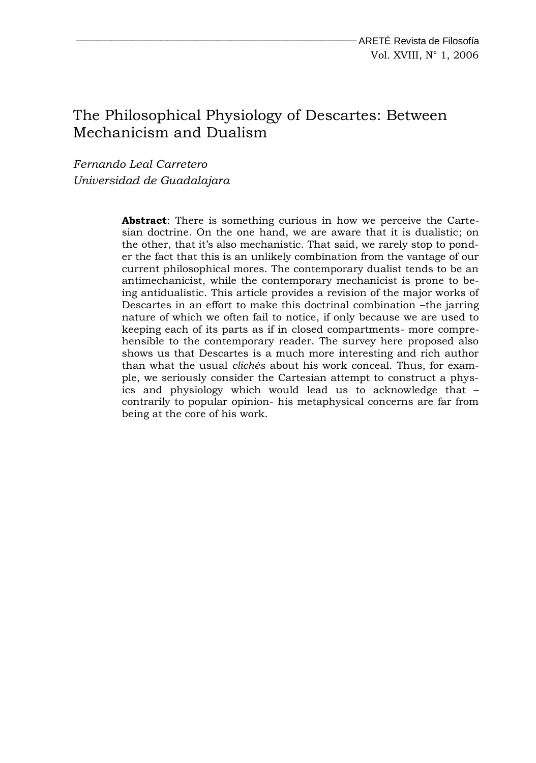## The Philosophical Physiology of Descartes: Between Mechanicism and Dualism

*Fernando Leal Carretero Universidad de Guadalajara*

> **Abstract**: There is something curious in how we perceive the Cartesian doctrine. On the one hand, we are aware that it is dualistic; on the other, that it's also mechanistic. That said, we rarely stop to ponder the fact that this is an unlikely combination from the vantage of our current philosophical mores. The contemporary dualist tends to be an antimechanicist, while the contemporary mechanicist is prone to being antidualistic. This article provides a revision of the major works of Descartes in an effort to make this doctrinal combination –the jarring nature of which we often fail to notice, if only because we are used to keeping each of its parts as if in closed compartments- more comprehensible to the contemporary reader. The survey here proposed also shows us that Descartes is a much more interesting and rich author than what the usual *clichés* about his work conceal. Thus, for example, we seriously consider the Cartesian attempt to construct a physics and physiology which would lead us to acknowledge that – contrarily to popular opinion- his metaphysical concerns are far from being at the core of his work.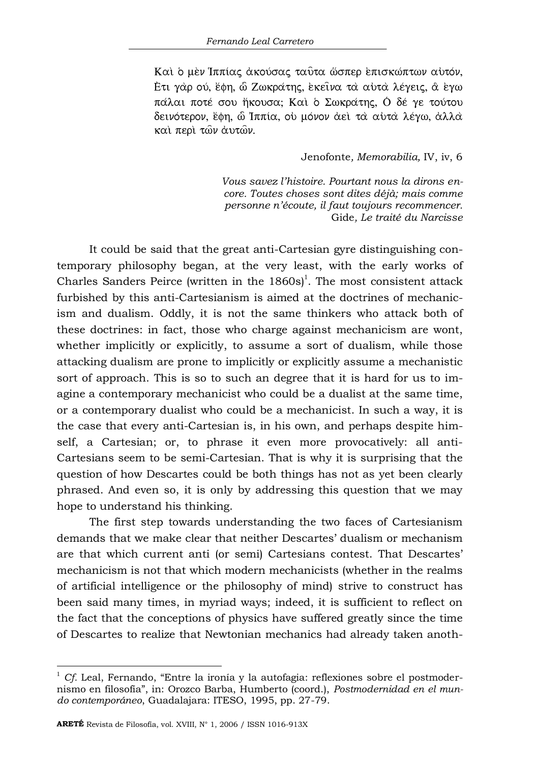Kαί ο μεν Ίππίας άκούσας ταύτα ώσπερ επισκώπτων αυτόν, Eτι γάρ ού, έφη, ω Ζωκράτης, εκείνα τα αυτα λέγεις, α΄ εγω πάλαι ποτέ σου ήκουσα; Και ο Σωκράτης, Ο δέ γε τούτου δεινότερον, έφη, ώ Ίππία, ου μόνον άει τα αυτα λέγω, άλλα καί περί των άυτων.

Jenofonte*, Memorabilia,* IV, iv, 6

*Vous savez l'histoire. Pourtant nous la dirons encore. Toutes choses sont dites déjà; mais comme personne n'écoute, il faut toujours recommencer.*  Gide*, Le traité du Narcisse*

It could be said that the great anti-Cartesian gyre distinguishing contemporary philosophy began, at the very least, with the early works of Charles Sanders Peirce (written in the  $1860s$ <sup>1</sup>. The most consistent attack furbished by this anti-Cartesianism is aimed at the doctrines of mechanicism and dualism. Oddly, it is not the same thinkers who attack both of these doctrines: in fact, those who charge against mechanicism are wont, whether implicitly or explicitly, to assume a sort of dualism, while those attacking dualism are prone to implicitly or explicitly assume a mechanistic sort of approach. This is so to such an degree that it is hard for us to imagine a contemporary mechanicist who could be a dualist at the same time, or a contemporary dualist who could be a mechanicist. In such a way, it is the case that every anti-Cartesian is, in his own, and perhaps despite himself, a Cartesian; or, to phrase it even more provocatively: all anti-Cartesians seem to be semi-Cartesian. That is why it is surprising that the question of how Descartes could be both things has not as yet been clearly phrased. And even so, it is only by addressing this question that we may hope to understand his thinking.

The first step towards understanding the two faces of Cartesianism demands that we make clear that neither Descartes" dualism or mechanism are that which current anti (or semi) Cartesians contest. That Descartes" mechanicism is not that which modern mechanicists (whether in the realms of artificial intelligence or the philosophy of mind) strive to construct has been said many times, in myriad ways; indeed, it is sufficient to reflect on the fact that the conceptions of physics have suffered greatly since the time of Descartes to realize that Newtonian mechanics had already taken anoth-

<sup>1</sup> *Cf.* Leal, Fernando, "Entre la ironía y la autofagia: reflexiones sobre el postmodernismo en filosofía", in: Orozco Barba, Humberto (coord.), *Postmodernidad en el mundo contemporáneo*, Guadalajara: ITESO, 1995, pp. 27-79.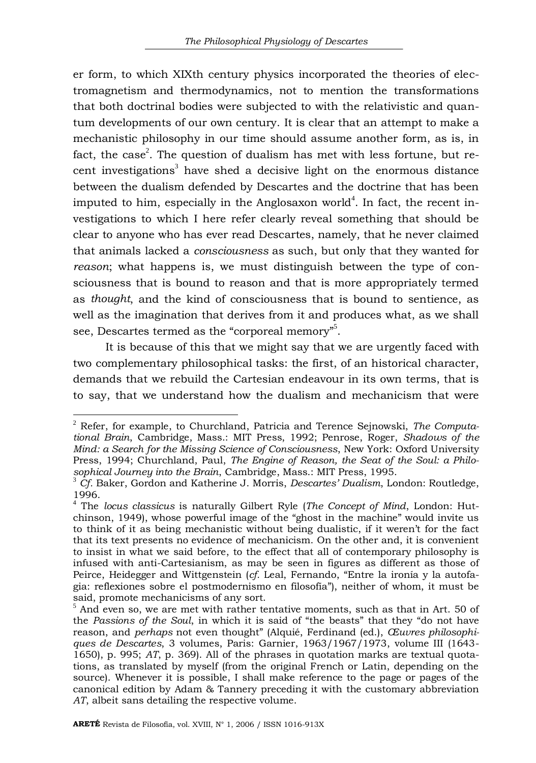er form, to which XIXth century physics incorporated the theories of electromagnetism and thermodynamics, not to mention the transformations that both doctrinal bodies were subjected to with the relativistic and quantum developments of our own century. It is clear that an attempt to make a mechanistic philosophy in our time should assume another form, as is, in fact, the case<sup>2</sup>. The question of dualism has met with less fortune, but recent investigations<sup>3</sup> have shed a decisive light on the enormous distance between the dualism defended by Descartes and the doctrine that has been imputed to him, especially in the Anglosaxon world $^4$ . In fact, the recent investigations to which I here refer clearly reveal something that should be clear to anyone who has ever read Descartes, namely, that he never claimed that animals lacked a *consciousness* as such, but only that they wanted for *reason*; what happens is, we must distinguish between the type of consciousness that is bound to reason and that is more appropriately termed as *thought*, and the kind of consciousness that is bound to sentience, as well as the imagination that derives from it and produces what, as we shall see, Descartes termed as the "corporeal memory".

It is because of this that we might say that we are urgently faced with two complementary philosophical tasks: the first, of an historical character, demands that we rebuild the Cartesian endeavour in its own terms, that is to say, that we understand how the dualism and mechanicism that were

<sup>2</sup> Refer, for example, to Churchland, Patricia and Terence Sejnowski, *The Computational Brain*, Cambridge, Mass.: MIT Press, 1992; Penrose, Roger, *Shadows of the Mind: a Search for the Missing Science of Consciousness*, New York: Oxford University Press, 1994; Churchland, Paul, *The Engine of Reason, the Seat of the Soul: a Philosophical Journey into the Brain*, Cambridge, Mass.: MIT Press, 1995.

<sup>3</sup> *Cf.* Baker, Gordon and Katherine J. Morris, *Descartes' Dualism*, London: Routledge, 1996.

<sup>4</sup> The *locus classicus* is naturally Gilbert Ryle (*The Concept of Mind*, London: Hutchinson, 1949), whose powerful image of the "ghost in the machine" would invite us to think of it as being mechanistic without being dualistic, if it weren"t for the fact that its text presents no evidence of mechanicism. On the other and, it is convenient to insist in what we said before, to the effect that all of contemporary philosophy is infused with anti-Cartesianism, as may be seen in figures as different as those of Peirce, Heidegger and Wittgenstein (*cf.* Leal, Fernando, "Entre la ironía y la autofagia: reflexiones sobre el postmodernismo en filosofía"), neither of whom, it must be said, promote mechanicisms of any sort.

 $<sup>5</sup>$  And even so, we are met with rather tentative moments, such as that in Art. 50 of</sup> the *Passions of the Soul*, in which it is said of "the beasts" that they "do not have reason, and *perhaps* not even thought" (Alquié, Ferdinand (ed.), *Œuvres philosophiques de Descartes*, 3 volumes, Paris: Garnier, 1963/1967/1973, volume III (1643- 1650), p. 995; *AT*, p. 369). All of the phrases in quotation marks are textual quotations, as translated by myself (from the original French or Latin, depending on the source). Whenever it is possible, I shall make reference to the page or pages of the canonical edition by Adam & Tannery preceding it with the customary abbreviation *AT*, albeit sans detailing the respective volume.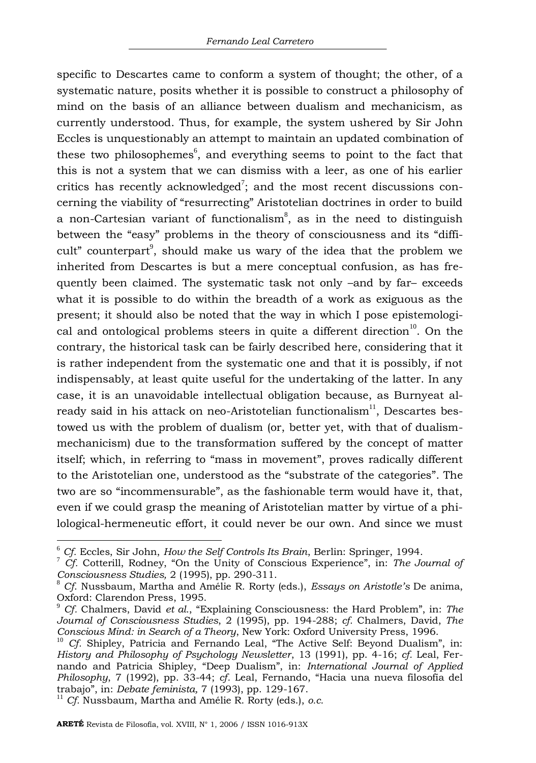specific to Descartes came to conform a system of thought; the other, of a systematic nature, posits whether it is possible to construct a philosophy of mind on the basis of an alliance between dualism and mechanicism, as currently understood. Thus, for example, the system ushered by Sir John Eccles is unquestionably an attempt to maintain an updated combination of these two philosophemes, and everything seems to point to the fact that this is not a system that we can dismiss with a leer, as one of his earlier critics has recently acknowledged<sup>7</sup>; and the most recent discussions concerning the viability of "resurrecting" Aristotelian doctrines in order to build a non-Cartesian variant of functionalism<sup>8</sup>, as in the need to distinguish between the "easy" problems in the theory of consciousness and its "diffi- $\text{cut}^*$  counterpart $^9$ , should make us wary of the idea that the problem we inherited from Descartes is but a mere conceptual confusion, as has frequently been claimed. The systematic task not only –and by far– exceeds what it is possible to do within the breadth of a work as exiguous as the present; it should also be noted that the way in which I pose epistemological and ontological problems steers in quite a different direction<sup>10</sup>. On the contrary, the historical task can be fairly described here, considering that it is rather independent from the systematic one and that it is possibly, if not indispensably, at least quite useful for the undertaking of the latter. In any case, it is an unavoidable intellectual obligation because, as Burnyeat already said in his attack on neo-Aristotelian functionalism<sup>11</sup>, Descartes bestowed us with the problem of dualism (or, better yet, with that of dualismmechanicism) due to the transformation suffered by the concept of matter itself; which, in referring to "mass in movement", proves radically different to the Aristotelian one, understood as the "substrate of the categories". The two are so "incommensurable", as the fashionable term would have it, that, even if we could grasp the meaning of Aristotelian matter by virtue of a philological-hermeneutic effort, it could never be our own. And since we must

<sup>6</sup> *Cf.* Eccles, Sir John, *How the Self Controls Its Brain*, Berlin: Springer, 1994.

<sup>7</sup> *Cf.* Cotterill, Rodney, "On the Unity of Conscious Experience", in: *The Journal of Consciousness Studies,* 2 (1995), pp. 290-311.

<sup>8</sup> *Cf*. Nussbaum, Martha and Amélie R. Rorty (eds.), *Essays on Aristotle's* De anima, Oxford: Clarendon Press, 1995.

<sup>9</sup> *Cf.* Chalmers, David *et al.*, "Explaining Consciousness: the Hard Problem", in: *The Journal of Consciousness Studies*, 2 (1995), pp. 194-288; *cf.* Chalmers, David, *The Conscious Mind: in Search of a Theory*, New York: Oxford University Press, 1996.

<sup>10</sup> *Cf.* Shipley, Patricia and Fernando Leal, "The Active Self: Beyond Dualism", in: *History and Philosophy of Psychology Newsletter*, 13 (1991), pp. 4-16; *cf.* Leal, Fernando and Patricia Shipley, "Deep Dualism", in: *International Journal of Applied Philosophy*, 7 (1992), pp. 33-44; *cf.* Leal, Fernando, "Hacia una nueva filosofía del trabajo", in: *Debate feminista,* 7 (1993), pp. 129-167.

<sup>11</sup> *Cf.* Nussbaum, Martha and Amélie R. Rorty (eds.), *o.c.*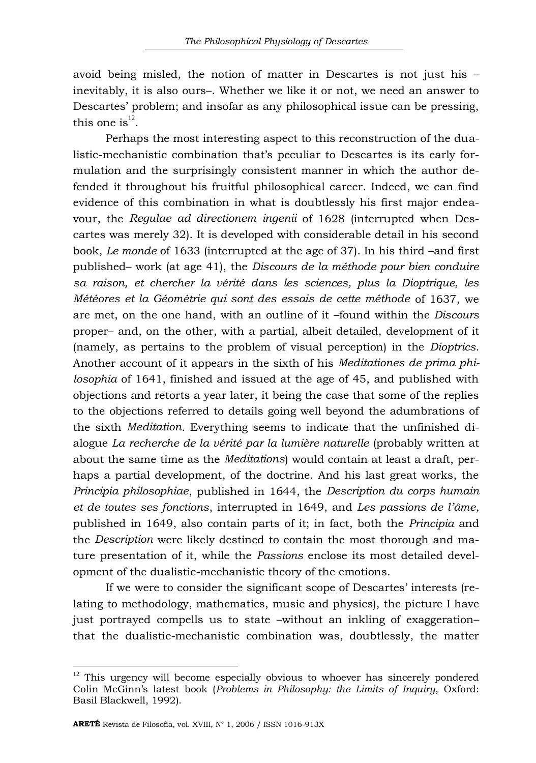avoid being misled, the notion of matter in Descartes is not just his – inevitably, it is also ours–. Whether we like it or not, we need an answer to Descartes" problem; and insofar as any philosophical issue can be pressing, this one is $^{12}$ .

Perhaps the most interesting aspect to this reconstruction of the dualistic-mechanistic combination that"s peculiar to Descartes is its early formulation and the surprisingly consistent manner in which the author defended it throughout his fruitful philosophical career. Indeed, we can find evidence of this combination in what is doubtlessly his first major endeavour, the *Regulae ad directionem ingenii* of 1628 (interrupted when Descartes was merely 32). It is developed with considerable detail in his second book, *Le monde* of 1633 (interrupted at the age of 37). In his third –and first published– work (at age 41), the *Discours de la méthode pour bien conduire sa raison, et chercher la vérité dans les sciences, plus la Dioptrique, les Météores et la Géométrie qui sont des essais de cette méthode* of 1637, we are met, on the one hand, with an outline of it –found within the *Discours* proper– and, on the other, with a partial, albeit detailed, development of it (namely, as pertains to the problem of visual perception) in the *Dioptrics*. Another account of it appears in the sixth of his *Meditationes de prima philosophia* of 1641, finished and issued at the age of 45, and published with objections and retorts a year later, it being the case that some of the replies to the objections referred to details going well beyond the adumbrations of the sixth *Meditation*. Everything seems to indicate that the unfinished dialogue *La recherche de la vérité par la lumière naturelle* (probably written at about the same time as the *Meditations*) would contain at least a draft, perhaps a partial development, of the doctrine. And his last great works, the *Principia philosophiae*, published in 1644, the *Description du corps humain et de toutes ses fonctions*, interrupted in 1649, and *Les passions de l'âme*, published in 1649, also contain parts of it; in fact, both the *Principia* and the *Description* were likely destined to contain the most thorough and mature presentation of it, while the *Passions* enclose its most detailed development of the dualistic-mechanistic theory of the emotions.

If we were to consider the significant scope of Descartes' interests (relating to methodology, mathematics, music and physics), the picture I have just portrayed compells us to state –without an inkling of exaggeration– that the dualistic-mechanistic combination was, doubtlessly, the matter

 $12$  This urgency will become especially obvious to whoever has sincerely pondered Colin McGinn"s latest book (*Problems in Philosophy: the Limits of Inquiry*, Oxford: Basil Blackwell, 1992).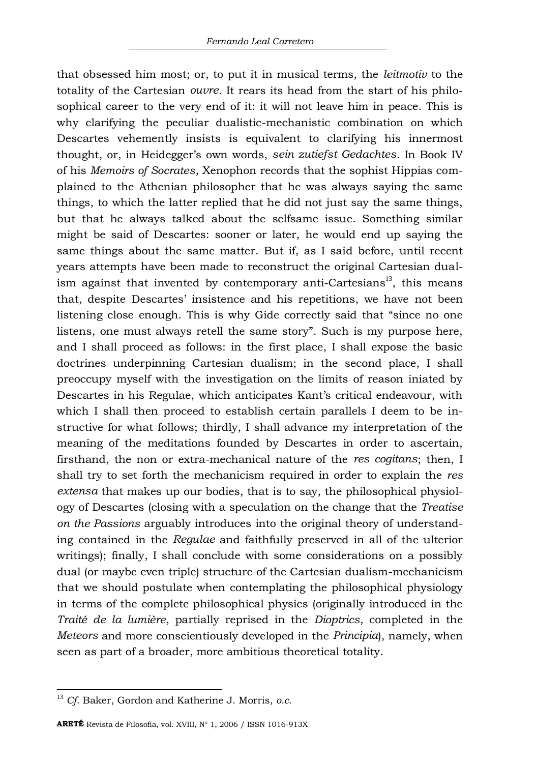that obsessed him most; or, to put it in musical terms, the *leitmotiv* to the totality of the Cartesian *ouvre*. It rears its head from the start of his philosophical career to the very end of it: it will not leave him in peace. This is why clarifying the peculiar dualistic-mechanistic combination on which Descartes vehemently insists is equivalent to clarifying his innermost thought, or, in Heidegger"s own words, *sein zutiefst Gedachtes*. In Book IV of his *Memoirs of Socrates*, Xenophon records that the sophist Hippias complained to the Athenian philosopher that he was always saying the same things, to which the latter replied that he did not just say the same things, but that he always talked about the selfsame issue. Something similar might be said of Descartes: sooner or later, he would end up saying the same things about the same matter. But if, as I said before, until recent years attempts have been made to reconstruct the original Cartesian dualism against that invented by contemporary anti-Cartesians<sup>13</sup>, this means that, despite Descartes" insistence and his repetitions, we have not been listening close enough. This is why Gide correctly said that "since no one listens, one must always retell the same story". Such is my purpose here, and I shall proceed as follows: in the first place, I shall expose the basic doctrines underpinning Cartesian dualism; in the second place, I shall preoccupy myself with the investigation on the limits of reason iniated by Descartes in his Regulae, which anticipates Kant"s critical endeavour, with which I shall then proceed to establish certain parallels I deem to be instructive for what follows; thirdly, I shall advance my interpretation of the meaning of the meditations founded by Descartes in order to ascertain, firsthand, the non or extra-mechanical nature of the *res cogitans*; then, I shall try to set forth the mechanicism required in order to explain the *res extensa* that makes up our bodies, that is to say, the philosophical physiology of Descartes (closing with a speculation on the change that the *Treatise on the Passions* arguably introduces into the original theory of understanding contained in the *Regulae* and faithfully preserved in all of the ulterior writings); finally, I shall conclude with some considerations on a possibly dual (or maybe even triple) structure of the Cartesian dualism-mechanicism that we should postulate when contemplating the philosophical physiology in terms of the complete philosophical physics (originally introduced in the *Traité de la lumière*, partially reprised in the *Dioptrics*, completed in the *Meteors* and more conscientiously developed in the *Principia*), namely, when seen as part of a broader, more ambitious theoretical totality.

<sup>13</sup> *Cf.* Baker, Gordon and Katherine J. Morris, *o.c.*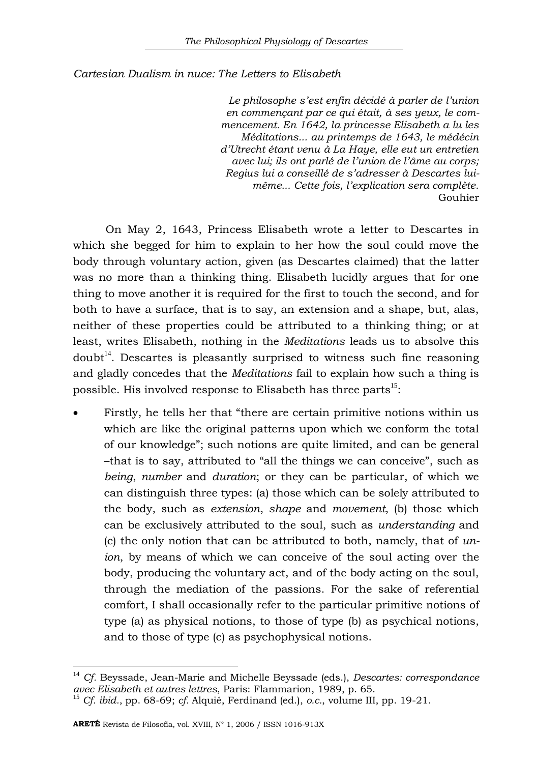## *Cartesian Dualism in nuce: The Letters to Elisabeth*

*Le philosophe s'est enfin décidé à parler de l'union en commençant par ce qui était, à ses yeux, le commencement. En 1642, la princesse Elisabeth a lu les Méditations... au printemps de 1643, le médécin d'Utrecht étant venu à La Haye, elle eut un entretien avec lui; ils ont parlé de l'union de l'âme au corps; Regius lui a conseillé de s'adresser à Descartes luimême... Cette fois, l'explication sera complète.* Gouhier

On May 2, 1643, Princess Elisabeth wrote a letter to Descartes in which she begged for him to explain to her how the soul could move the body through voluntary action, given (as Descartes claimed) that the latter was no more than a thinking thing. Elisabeth lucidly argues that for one thing to move another it is required for the first to touch the second, and for both to have a surface, that is to say, an extension and a shape, but, alas, neither of these properties could be attributed to a thinking thing; or at least, writes Elisabeth, nothing in the *Meditations* leads us to absolve this  $doubt<sup>14</sup>$ . Descartes is pleasantly surprised to witness such fine reasoning and gladly concedes that the *Meditations* fail to explain how such a thing is possible. His involved response to Elisabeth has three parts $^{\rm 15}$ :

 Firstly, he tells her that "there are certain primitive notions within us which are like the original patterns upon which we conform the total of our knowledge"; such notions are quite limited, and can be general –that is to say, attributed to "all the things we can conceive", such as *being*, *number* and *duration*; or they can be particular, of which we can distinguish three types: (a) those which can be solely attributed to the body, such as *extension*, *shape* and *movement*, (b) those which can be exclusively attributed to the soul, such as *understanding* and (c) the only notion that can be attributed to both, namely, that of *union*, by means of which we can conceive of the soul acting over the body, producing the voluntary act, and of the body acting on the soul, through the mediation of the passions. For the sake of referential comfort, I shall occasionally refer to the particular primitive notions of type (a) as physical notions, to those of type (b) as psychical notions, and to those of type (c) as psychophysical notions.

<sup>14</sup> *Cf.* Beyssade, Jean-Marie and Michelle Beyssade (eds.), *Descartes: correspondance avec Elisabeth et autres lettres*, Paris: Flammarion, 1989, p. 65.

<sup>15</sup> *Cf. ibid.*, pp. 68-69; *cf.* Alquié, Ferdinand (ed.), *o.c.*, volume III, pp. 19-21.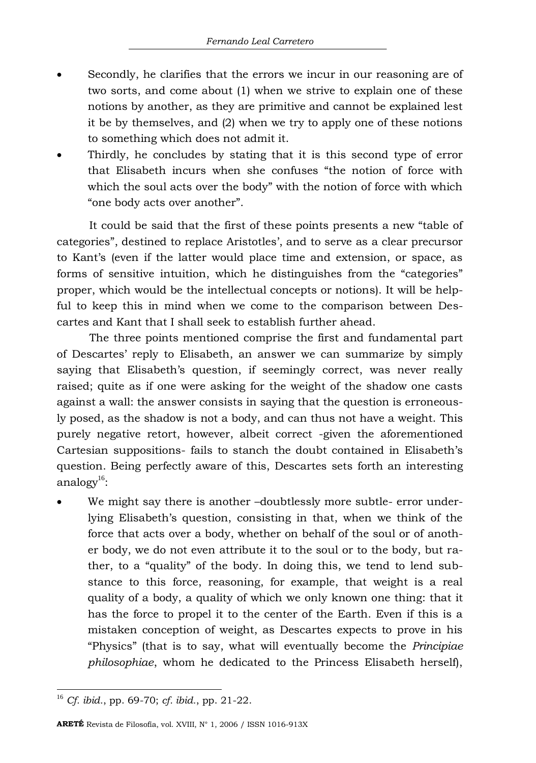- Secondly, he clarifies that the errors we incur in our reasoning are of two sorts, and come about (1) when we strive to explain one of these notions by another, as they are primitive and cannot be explained lest it be by themselves, and (2) when we try to apply one of these notions to something which does not admit it.
- Thirdly, he concludes by stating that it is this second type of error that Elisabeth incurs when she confuses "the notion of force with which the soul acts over the body" with the notion of force with which "one body acts over another".

It could be said that the first of these points presents a new "table of categories", destined to replace Aristotles", and to serve as a clear precursor to Kant"s (even if the latter would place time and extension, or space, as forms of sensitive intuition, which he distinguishes from the "categories" proper, which would be the intellectual concepts or notions). It will be helpful to keep this in mind when we come to the comparison between Descartes and Kant that I shall seek to establish further ahead.

The three points mentioned comprise the first and fundamental part of Descartes" reply to Elisabeth, an answer we can summarize by simply saying that Elisabeth's question, if seemingly correct, was never really raised; quite as if one were asking for the weight of the shadow one casts against a wall: the answer consists in saying that the question is erroneously posed, as the shadow is not a body, and can thus not have a weight. This purely negative retort, however, albeit correct -given the aforementioned Cartesian suppositions- fails to stanch the doubt contained in Elisabeth"s question. Being perfectly aware of this, Descartes sets forth an interesting analogy $^{16}$ :

 We might say there is another –doubtlessly more subtle- error underlying Elisabeth"s question, consisting in that, when we think of the force that acts over a body, whether on behalf of the soul or of another body, we do not even attribute it to the soul or to the body, but rather, to a "quality" of the body. In doing this, we tend to lend substance to this force, reasoning, for example, that weight is a real quality of a body, a quality of which we only known one thing: that it has the force to propel it to the center of the Earth. Even if this is a mistaken conception of weight, as Descartes expects to prove in his "Physics" (that is to say, what will eventually become the *Principiae philosophiae*, whom he dedicated to the Princess Elisabeth herself),

<sup>16</sup> *Cf. ibid.*, pp. 69-70; *cf. ibid.*, pp. 21-22.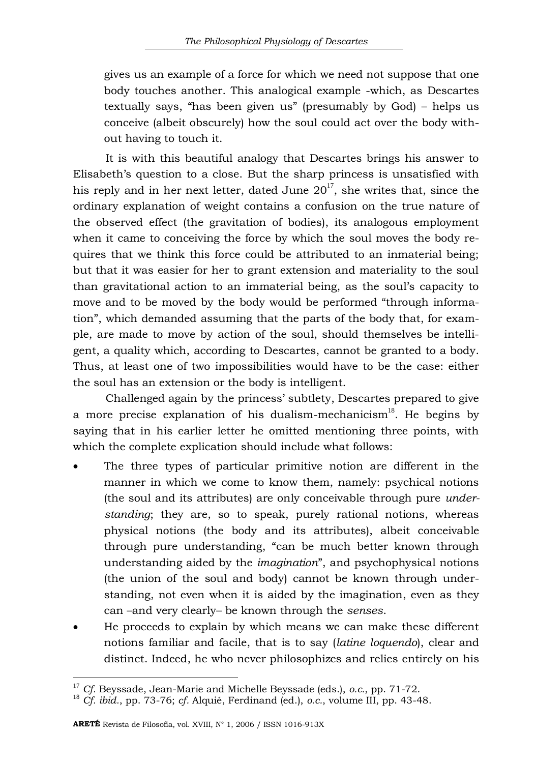gives us an example of a force for which we need not suppose that one body touches another. This analogical example -which, as Descartes textually says, "has been given us" (presumably by God) – helps us conceive (albeit obscurely) how the soul could act over the body without having to touch it.

It is with this beautiful analogy that Descartes brings his answer to Elisabeth"s question to a close. But the sharp princess is unsatisfied with his reply and in her next letter, dated June  $20^{17}$ , she writes that, since the ordinary explanation of weight contains a confusion on the true nature of the observed effect (the gravitation of bodies), its analogous employment when it came to conceiving the force by which the soul moves the body requires that we think this force could be attributed to an inmaterial being; but that it was easier for her to grant extension and materiality to the soul than gravitational action to an immaterial being, as the soul"s capacity to move and to be moved by the body would be performed "through information", which demanded assuming that the parts of the body that, for example, are made to move by action of the soul, should themselves be intelligent, a quality which, according to Descartes, cannot be granted to a body. Thus, at least one of two impossibilities would have to be the case: either the soul has an extension or the body is intelligent.

Challenged again by the princess" subtlety, Descartes prepared to give a more precise explanation of his dualism-mechanicism $18$ . He begins by saying that in his earlier letter he omitted mentioning three points, with which the complete explication should include what follows:

- The three types of particular primitive notion are different in the manner in which we come to know them, namely: psychical notions (the soul and its attributes) are only conceivable through pure *understanding*; they are, so to speak, purely rational notions, whereas physical notions (the body and its attributes), albeit conceivable through pure understanding, "can be much better known through understanding aided by the *imagination*", and psychophysical notions (the union of the soul and body) cannot be known through understanding, not even when it is aided by the imagination, even as they can –and very clearly– be known through the *senses*.
- He proceeds to explain by which means we can make these different notions familiar and facile, that is to say (*latine loquendo*), clear and distinct. Indeed, he who never philosophizes and relies entirely on his

<sup>17</sup> *Cf.* Beyssade, Jean-Marie and Michelle Beyssade (eds.), *o.c.*, pp. 71-72.

<sup>18</sup> *Cf. ibid.*, pp. 73-76; *cf.* Alquié, Ferdinand (ed.), *o.c.*, volume III, pp. 43-48.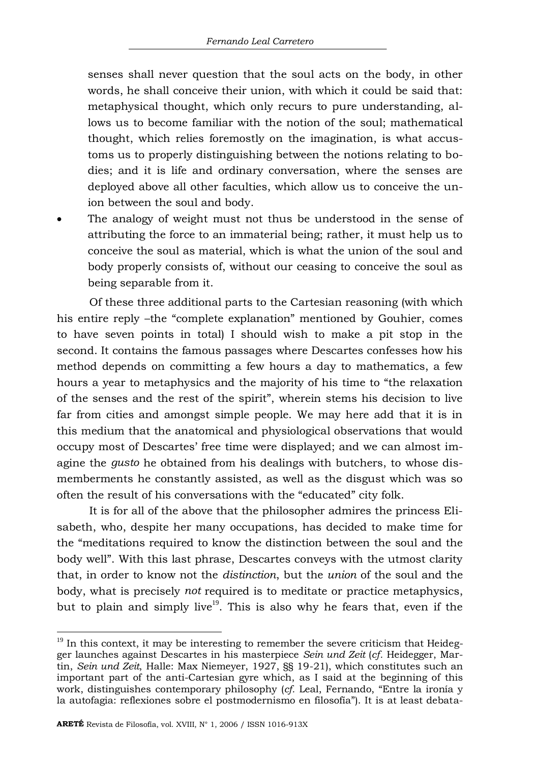senses shall never question that the soul acts on the body, in other words, he shall conceive their union, with which it could be said that: metaphysical thought, which only recurs to pure understanding, allows us to become familiar with the notion of the soul; mathematical thought, which relies foremostly on the imagination, is what accustoms us to properly distinguishing between the notions relating to bodies; and it is life and ordinary conversation, where the senses are deployed above all other faculties, which allow us to conceive the union between the soul and body.

 The analogy of weight must not thus be understood in the sense of attributing the force to an immaterial being; rather, it must help us to conceive the soul as material, which is what the union of the soul and body properly consists of, without our ceasing to conceive the soul as being separable from it.

Of these three additional parts to the Cartesian reasoning (with which his entire reply –the "complete explanation" mentioned by Gouhier, comes to have seven points in total) I should wish to make a pit stop in the second. It contains the famous passages where Descartes confesses how his method depends on committing a few hours a day to mathematics, a few hours a year to metaphysics and the majority of his time to "the relaxation of the senses and the rest of the spirit", wherein stems his decision to live far from cities and amongst simple people. We may here add that it is in this medium that the anatomical and physiological observations that would occupy most of Descartes" free time were displayed; and we can almost imagine the *gusto* he obtained from his dealings with butchers, to whose dismemberments he constantly assisted, as well as the disgust which was so often the result of his conversations with the "educated" city folk.

It is for all of the above that the philosopher admires the princess Elisabeth, who, despite her many occupations, has decided to make time for the "meditations required to know the distinction between the soul and the body well". With this last phrase, Descartes conveys with the utmost clarity that, in order to know not the *distinction*, but the *union* of the soul and the body, what is precisely *not* required is to meditate or practice metaphysics, but to plain and simply live<sup>19</sup>. This is also why he fears that, even if the

<sup>&</sup>lt;sup>19</sup> In this context, it may be interesting to remember the severe criticism that Heidegger launches against Descartes in his masterpiece *Sein und Zeit* (*cf.* Heidegger, Martin, *Sein und Zeit*, Halle: Max Niemeyer, 1927, §§ 19-21), which constitutes such an important part of the anti-Cartesian gyre which, as I said at the beginning of this work, distinguishes contemporary philosophy (*cf.* Leal, Fernando, "Entre la ironía y la autofagia: reflexiones sobre el postmodernismo en filosofía"). It is at least debata-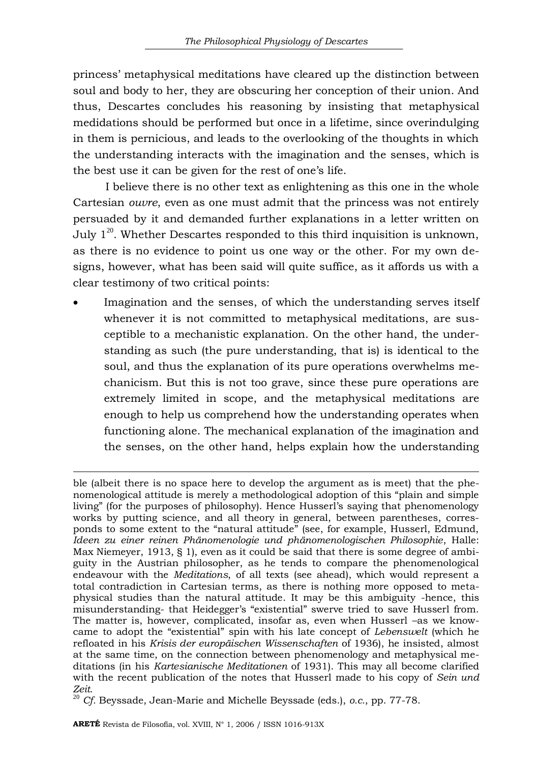princess" metaphysical meditations have cleared up the distinction between soul and body to her, they are obscuring her conception of their union. And thus, Descartes concludes his reasoning by insisting that metaphysical medidations should be performed but once in a lifetime, since overindulging in them is pernicious, and leads to the overlooking of the thoughts in which the understanding interacts with the imagination and the senses, which is the best use it can be given for the rest of one"s life.

I believe there is no other text as enlightening as this one in the whole Cartesian *ouvre*, even as one must admit that the princess was not entirely persuaded by it and demanded further explanations in a letter written on July  $1^{20}$ . Whether Descartes responded to this third inquisition is unknown, as there is no evidence to point us one way or the other. For my own designs, however, what has been said will quite suffice, as it affords us with a clear testimony of two critical points:

 Imagination and the senses, of which the understanding serves itself whenever it is not committed to metaphysical meditations, are susceptible to a mechanistic explanation. On the other hand, the understanding as such (the pure understanding, that is) is identical to the soul, and thus the explanation of its pure operations overwhelms mechanicism. But this is not too grave, since these pure operations are extremely limited in scope, and the metaphysical meditations are enough to help us comprehend how the understanding operates when functioning alone. The mechanical explanation of the imagination and the senses, on the other hand, helps explain how the understanding

ble (albeit there is no space here to develop the argument as is meet) that the phenomenological attitude is merely a methodological adoption of this "plain and simple living" (for the purposes of philosophy). Hence Husserl"s saying that phenomenology works by putting science, and all theory in general, between parentheses, corresponds to some extent to the "natural attitude" (see, for example, Husserl, Edmund, *Ideen zu einer reinen Phänomenologie und phänomenologischen Philosophie*, Halle: Max Niemeyer, 1913, § 1), even as it could be said that there is some degree of ambiguity in the Austrian philosopher, as he tends to compare the phenomenological endeavour with the *Meditations*, of all texts (see ahead), which would represent a total contradiction in Cartesian terms, as there is nothing more opposed to metaphysical studies than the natural attitude. It may be this ambiguity -hence, this misunderstanding- that Heidegger"s "existential" swerve tried to save Husserl from. The matter is, however, complicated, insofar as, even when Husserl –as we knowcame to adopt the "existential" spin with his late concept of *Lebenswelt* (which he refloated in his *Krisis der europäischen Wissenschaften* of 1936), he insisted, almost at the same time, on the connection between phenomenology and metaphysical meditations (in his *Kartesianische Meditationen* of 1931). This may all become clarified with the recent publication of the notes that Husserl made to his copy of *Sein und Zeit*.

<sup>20</sup> *Cf.* Beyssade, Jean-Marie and Michelle Beyssade (eds.), *o.c.*, pp. 77-78.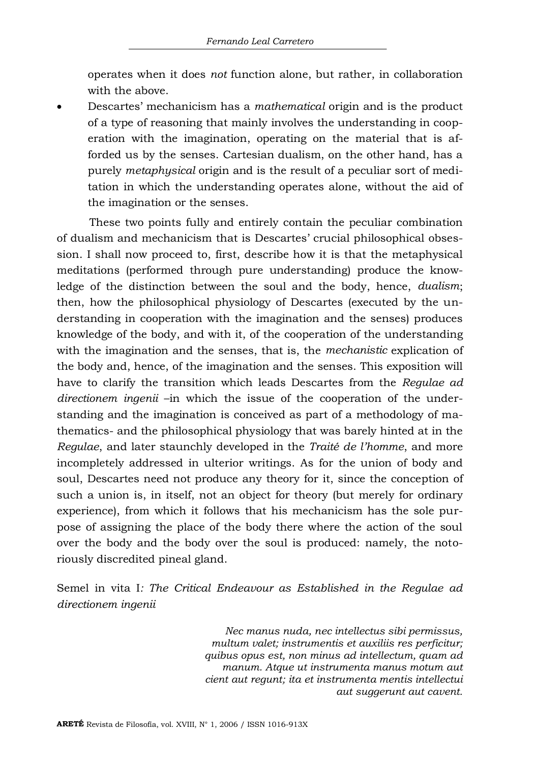operates when it does *not* function alone, but rather, in collaboration with the above.

 Descartes" mechanicism has a *mathematical* origin and is the product of a type of reasoning that mainly involves the understanding in cooperation with the imagination, operating on the material that is afforded us by the senses. Cartesian dualism, on the other hand, has a purely *metaphysical* origin and is the result of a peculiar sort of meditation in which the understanding operates alone, without the aid of the imagination or the senses.

These two points fully and entirely contain the peculiar combination of dualism and mechanicism that is Descartes" crucial philosophical obsession. I shall now proceed to, first, describe how it is that the metaphysical meditations (performed through pure understanding) produce the knowledge of the distinction between the soul and the body, hence, *dualism*; then, how the philosophical physiology of Descartes (executed by the understanding in cooperation with the imagination and the senses) produces knowledge of the body, and with it, of the cooperation of the understanding with the imagination and the senses, that is, the *mechanistic* explication of the body and, hence, of the imagination and the senses. This exposition will have to clarify the transition which leads Descartes from the *Regulae ad directionem ingenii* –in which the issue of the cooperation of the understanding and the imagination is conceived as part of a methodology of mathematics- and the philosophical physiology that was barely hinted at in the *Regulae*, and later staunchly developed in the *Traité de l'homme*, and more incompletely addressed in ulterior writings. As for the union of body and soul, Descartes need not produce any theory for it, since the conception of such a union is, in itself, not an object for theory (but merely for ordinary experience), from which it follows that his mechanicism has the sole purpose of assigning the place of the body there where the action of the soul over the body and the body over the soul is produced: namely, the notoriously discredited pineal gland.

Semel in vita I*: The Critical Endeavour as Established in the Regulae ad directionem ingenii*

> *Nec manus nuda, nec intellectus sibi permissus, multum valet; instrumentis et auxiliis res perficitur; quibus opus est, non minus ad intellectum, quam ad manum. Atque ut instrumenta manus motum aut cient aut regunt; ita et instrumenta mentis intellectui aut suggerunt aut cavent.*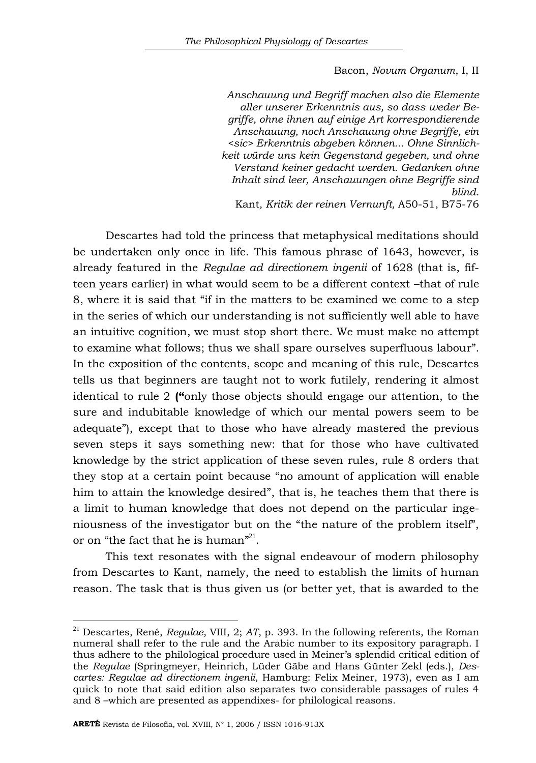## Bacon, *Novum Organum*, I, II

*Anschauung und Begriff machen also die Elemente aller unserer Erkenntnis aus, so dass weder Begriffe, ohne ihnen auf einige Art korrespondierende Anschauung, noch Anschauung ohne Begriffe, ein <sic> Erkenntnis abgeben können... Ohne Sinnlichkeit würde uns kein Gegenstand gegeben, und ohne Verstand keiner gedacht werden. Gedanken ohne Inhalt sind leer, Anschauungen ohne Begriffe sind blind.*

Kant*, Kritik der reinen Vernunft,* A50-51, B75-76

Descartes had told the princess that metaphysical meditations should be undertaken only once in life. This famous phrase of 1643, however, is already featured in the *Regulae ad directionem ingenii* of 1628 (that is, fifteen years earlier) in what would seem to be a different context –that of rule 8, where it is said that "if in the matters to be examined we come to a step in the series of which our understanding is not sufficiently well able to have an intuitive cognition, we must stop short there. We must make no attempt to examine what follows; thus we shall spare ourselves superfluous labour". In the exposition of the contents, scope and meaning of this rule, Descartes tells us that beginners are taught not to work futilely, rendering it almost identical to rule 2 **("**only those objects should engage our attention, to the sure and indubitable knowledge of which our mental powers seem to be adequate"), except that to those who have already mastered the previous seven steps it says something new: that for those who have cultivated knowledge by the strict application of these seven rules, rule 8 orders that they stop at a certain point because "no amount of application will enable him to attain the knowledge desired", that is, he teaches them that there is a limit to human knowledge that does not depend on the particular ingeniousness of the investigator but on the "the nature of the problem itself", or on "the fact that he is human" $^{21}$ .

This text resonates with the signal endeavour of modern philosophy from Descartes to Kant, namely, the need to establish the limits of human reason. The task that is thus given us (or better yet, that is awarded to the

<sup>21</sup> Descartes, René, *Regulae*, VIII, 2; *AT*, p. 393. In the following referents, the Roman numeral shall refer to the rule and the Arabic number to its expository paragraph. I thus adhere to the philological procedure used in Meiner"s splendid critical edition of the *Regulae* (Springmeyer, Heinrich, Lüder Gäbe and Hans Günter Zekl (eds.), *Descartes: Regulae ad directionem ingenii*, Hamburg: Felix Meiner, 1973), even as I am quick to note that said edition also separates two considerable passages of rules 4 and 8 –which are presented as appendixes- for philological reasons.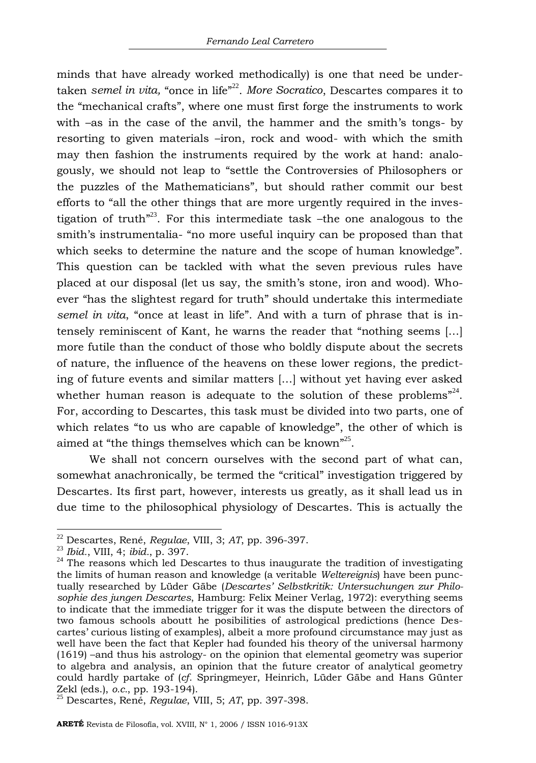minds that have already worked methodically) is one that need be undertaken *semel in vita,* "once in life"<sup>22</sup> . *More Socratico*, Descartes compares it to the "mechanical crafts", where one must first forge the instruments to work with –as in the case of the anvil, the hammer and the smith's tongs- by resorting to given materials –iron, rock and wood- with which the smith may then fashion the instruments required by the work at hand: analogously, we should not leap to "settle the Controversies of Philosophers or the puzzles of the Mathematicians", but should rather commit our best efforts to "all the other things that are more urgently required in the investigation of truth"<sup>23</sup>. For this intermediate task  $-$ the one analogous to the smith's instrumentalia- "no more useful inquiry can be proposed than that which seeks to determine the nature and the scope of human knowledge". This question can be tackled with what the seven previous rules have placed at our disposal (let us say, the smith's stone, iron and wood). Whoever "has the slightest regard for truth" should undertake this intermediate *semel in vita*, "once at least in life". And with a turn of phrase that is intensely reminiscent of Kant, he warns the reader that "nothing seems […] more futile than the conduct of those who boldly dispute about the secrets of nature, the influence of the heavens on these lower regions, the predicting of future events and similar matters […] without yet having ever asked whether human reason is adequate to the solution of these problems $^{n^24}$ . For, according to Descartes, this task must be divided into two parts, one of which relates "to us who are capable of knowledge", the other of which is aimed at "the things themselves which can be known"<sup>25</sup>.

We shall not concern ourselves with the second part of what can, somewhat anachronically, be termed the "critical" investigation triggered by Descartes. Its first part, however, interests us greatly, as it shall lead us in due time to the philosophical physiology of Descartes. This is actually the

<sup>22</sup> Descartes, René, *Regulae*, VIII, 3; *AT*, pp. 396-397.

<sup>23</sup> *Ibid.*, VIII, 4; *ibid.*, p. 397.

 $24$  The reasons which led Descartes to thus inaugurate the tradition of investigating the limits of human reason and knowledge (a veritable *Weltereignis*) have been punctually researched by Lüder Gäbe (*Descartes' Selbstkritik: Untersuchungen zur Philosophie des jungen Descartes*, Hamburg: Felix Meiner Verlag, 1972): everything seems to indicate that the immediate trigger for it was the dispute between the directors of two famous schools aboutt he posibilities of astrological predictions (hence Descartes" curious listing of examples), albeit a more profound circumstance may just as well have been the fact that Kepler had founded his theory of the universal harmony (1619) –and thus his astrology- on the opinion that elemental geometry was superior to algebra and analysis, an opinion that the future creator of analytical geometry could hardly partake of (*cf.* Springmeyer, Heinrich, Lüder Gäbe and Hans Günter Zekl (eds.), *o.c.*, pp. 193-194).

<sup>25</sup> Descartes, René, *Regulae*, VIII, 5; *AT*, pp. 397-398.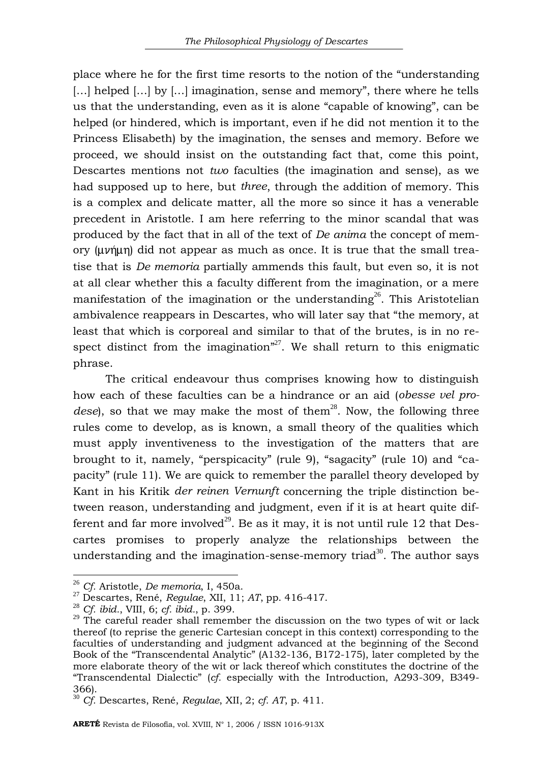place where he for the first time resorts to the notion of the "understanding [...] helped [...] by [...] imagination, sense and memory", there where he tells us that the understanding, even as it is alone "capable of knowing", can be helped (or hindered, which is important, even if he did not mention it to the Princess Elisabeth) by the imagination, the senses and memory. Before we proceed, we should insist on the outstanding fact that, come this point, Descartes mentions not *two* faculties (the imagination and sense), as we had supposed up to here, but *three*, through the addition of memory. This is a complex and delicate matter, all the more so since it has a venerable precedent in Aristotle. I am here referring to the minor scandal that was produced by the fact that in all of the text of *De anima* the concept of memory  $(\mu\nu\eta\mu\eta)$  did not appear as much as once. It is true that the small treatise that is *De memoria* partially ammends this fault, but even so, it is not at all clear whether this a faculty different from the imagination, or a mere manifestation of the imagination or the understanding<sup>26</sup>. This Aristotelian ambivalence reappears in Descartes, who will later say that "the memory, at least that which is corporeal and similar to that of the brutes, is in no respect distinct from the imagination"<sup>27</sup>. We shall return to this enigmatic phrase.

The critical endeavour thus comprises knowing how to distinguish how each of these faculties can be a hindrance or an aid (*obesse vel prodese*), so that we may make the most of them<sup>28</sup>. Now, the following three rules come to develop, as is known, a small theory of the qualities which must apply inventiveness to the investigation of the matters that are brought to it, namely, "perspicacity" (rule 9), "sagacity" (rule 10) and "capacity" (rule 11). We are quick to remember the parallel theory developed by Kant in his Kritik *der reinen Vernunft* concerning the triple distinction between reason, understanding and judgment, even if it is at heart quite different and far more involved<sup>29</sup>. Be as it may, it is not until rule 12 that Descartes promises to properly analyze the relationships between the understanding and the imagination-sense-memory triad<sup>30</sup>. The author says

<sup>26</sup> *Cf.* Aristotle, *De memoria*, I, 450a.

<sup>27</sup> Descartes, René, *Regulae*, XII, 11; *AT*, pp. 416-417.

<sup>28</sup> *Cf. ibid.*, VIII, 6; *cf. ibid.*, p. 399.

 $29$  The careful reader shall remember the discussion on the two types of wit or lack thereof (to reprise the generic Cartesian concept in this context) corresponding to the faculties of understanding and judgment advanced at the beginning of the Second Book of the "Transcendental Analytic" (A132-136, B172-175), later completed by the more elaborate theory of the wit or lack thereof which constitutes the doctrine of the "Transcendental Dialectic" (*cf.* especially with the Introduction, A293-309, B349- 366).

<sup>30</sup> *Cf.* Descartes, René, *Regulae*, XII, 2; *cf. AT*, p. 411.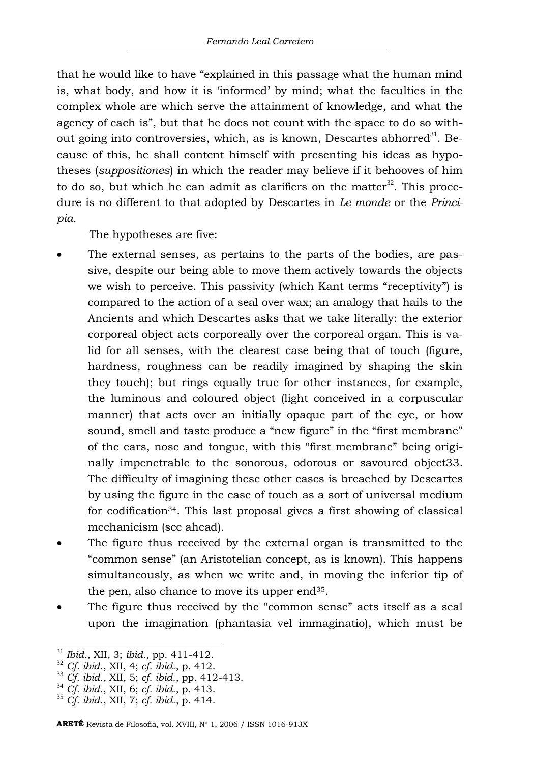that he would like to have "explained in this passage what the human mind is, what body, and how it is "informed" by mind; what the faculties in the complex whole are which serve the attainment of knowledge, and what the agency of each is", but that he does not count with the space to do so without going into controversies, which, as is known, Descartes abhorred<sup>31</sup>. Because of this, he shall content himself with presenting his ideas as hypotheses (*suppositiones*) in which the reader may believe if it behooves of him to do so, but which he can admit as clarifiers on the matter<sup>32</sup>. This procedure is no different to that adopted by Descartes in *Le monde* or the *Principia*.

The hypotheses are five:

- The external senses, as pertains to the parts of the bodies, are passive, despite our being able to move them actively towards the objects we wish to perceive. This passivity (which Kant terms "receptivity") is compared to the action of a seal over wax; an analogy that hails to the Ancients and which Descartes asks that we take literally: the exterior corporeal object acts corporeally over the corporeal organ. This is valid for all senses, with the clearest case being that of touch (figure, hardness, roughness can be readily imagined by shaping the skin they touch); but rings equally true for other instances, for example, the luminous and coloured object (light conceived in a corpuscular manner) that acts over an initially opaque part of the eye, or how sound, smell and taste produce a "new figure" in the "first membrane" of the ears, nose and tongue, with this "first membrane" being originally impenetrable to the sonorous, odorous or savoured object33. The difficulty of imagining these other cases is breached by Descartes by using the figure in the case of touch as a sort of universal medium for codification<sup>34</sup>. This last proposal gives a first showing of classical mechanicism (see ahead).
- The figure thus received by the external organ is transmitted to the "common sense" (an Aristotelian concept, as is known). This happens simultaneously, as when we write and, in moving the inferior tip of the pen, also chance to move its upper end35.
- The figure thus received by the "common sense" acts itself as a seal upon the imagination (phantasia vel immaginatio), which must be

<sup>31</sup> *Ibid.*, XII, 3; *ibid.*, pp. 411-412.

<sup>32</sup> *Cf. ibid.*, XII, 4; *cf. ibid.*, p. 412.

<sup>33</sup> *Cf. ibid.*, XII, 5; *cf. ibid.*, pp. 412-413.

<sup>34</sup> *Cf. ibid.*, XII, 6; *cf. ibid.*, p. 413.

<sup>35</sup> *Cf. ibid.*, XII, 7; *cf. ibid.*, p. 414.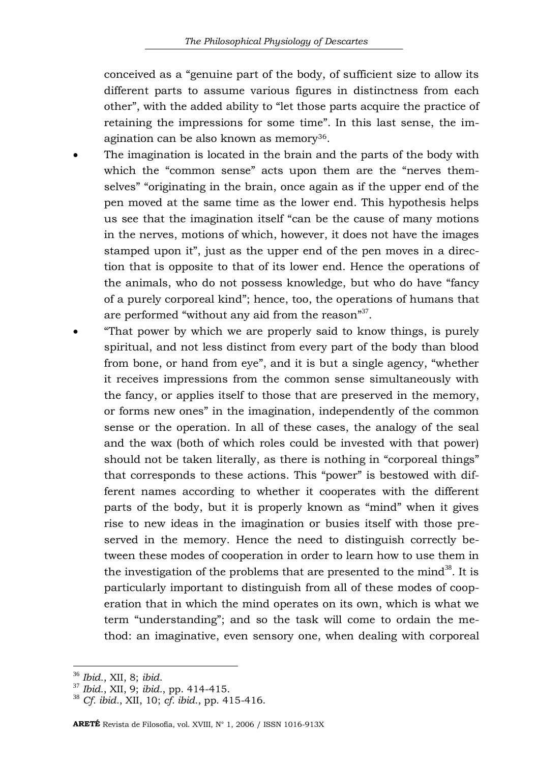conceived as a "genuine part of the body, of sufficient size to allow its different parts to assume various figures in distinctness from each other", with the added ability to "let those parts acquire the practice of retaining the impressions for some time". In this last sense, the imagination can be also known as memory<sup>36</sup>.

- The imagination is located in the brain and the parts of the body with which the "common sense" acts upon them are the "nerves themselves" "originating in the brain, once again as if the upper end of the pen moved at the same time as the lower end. This hypothesis helps us see that the imagination itself "can be the cause of many motions in the nerves, motions of which, however, it does not have the images stamped upon it", just as the upper end of the pen moves in a direction that is opposite to that of its lower end. Hence the operations of the animals, who do not possess knowledge, but who do have "fancy of a purely corporeal kind"; hence, too, the operations of humans that are performed "without any aid from the reason"<sup>37</sup>.
- "That power by which we are properly said to know things, is purely spiritual, and not less distinct from every part of the body than blood from bone, or hand from eye", and it is but a single agency, "whether it receives impressions from the common sense simultaneously with the fancy, or applies itself to those that are preserved in the memory, or forms new ones" in the imagination, independently of the common sense or the operation. In all of these cases, the analogy of the seal and the wax (both of which roles could be invested with that power) should not be taken literally, as there is nothing in "corporeal things" that corresponds to these actions. This "power" is bestowed with different names according to whether it cooperates with the different parts of the body, but it is properly known as "mind" when it gives rise to new ideas in the imagination or busies itself with those preserved in the memory. Hence the need to distinguish correctly between these modes of cooperation in order to learn how to use them in the investigation of the problems that are presented to the mind<sup>38</sup>. It is particularly important to distinguish from all of these modes of cooperation that in which the mind operates on its own, which is what we term "understanding"; and so the task will come to ordain the method: an imaginative, even sensory one, when dealing with corporeal

<sup>36</sup> *Ibid.*, XII, 8; *ibid*.

<sup>37</sup> *Ibid.*, XII, 9; *ibid.*, pp. 414-415.

<sup>38</sup> *Cf. ibid.*, XII, 10; *cf. ibid.*, pp. 415-416.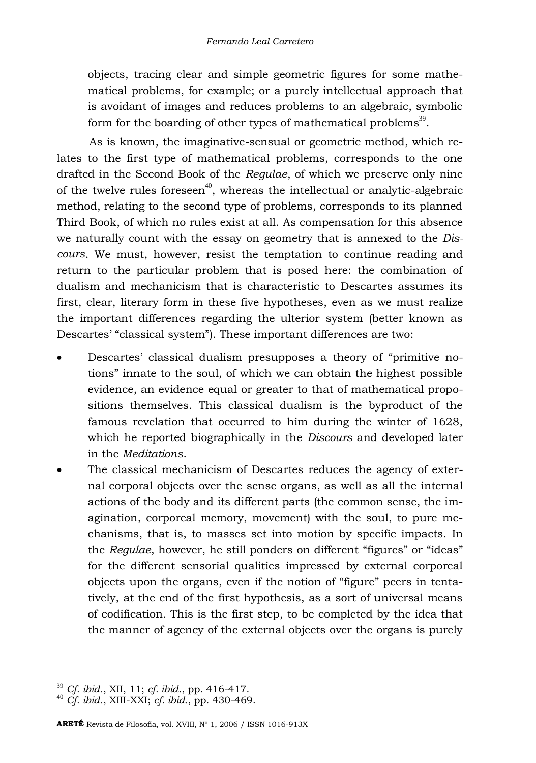objects, tracing clear and simple geometric figures for some mathematical problems, for example; or a purely intellectual approach that is avoidant of images and reduces problems to an algebraic, symbolic form for the boarding of other types of mathematical problems $^{39}$ .

As is known, the imaginative-sensual or geometric method, which relates to the first type of mathematical problems, corresponds to the one drafted in the Second Book of the *Regulae*, of which we preserve only nine of the twelve rules foreseen<sup>40</sup>, whereas the intellectual or analytic-algebraic method, relating to the second type of problems, corresponds to its planned Third Book, of which no rules exist at all. As compensation for this absence we naturally count with the essay on geometry that is annexed to the *Discours*. We must, however, resist the temptation to continue reading and return to the particular problem that is posed here: the combination of dualism and mechanicism that is characteristic to Descartes assumes its first, clear, literary form in these five hypotheses, even as we must realize the important differences regarding the ulterior system (better known as Descartes' "classical system"). These important differences are two:

- Descartes' classical dualism presupposes a theory of "primitive notions" innate to the soul, of which we can obtain the highest possible evidence, an evidence equal or greater to that of mathematical propositions themselves. This classical dualism is the byproduct of the famous revelation that occurred to him during the winter of 1628, which he reported biographically in the *Discours* and developed later in the *Meditations*.
- The classical mechanicism of Descartes reduces the agency of external corporal objects over the sense organs, as well as all the internal actions of the body and its different parts (the common sense, the imagination, corporeal memory, movement) with the soul, to pure mechanisms, that is, to masses set into motion by specific impacts. In the *Regulae*, however, he still ponders on different "figures" or "ideas" for the different sensorial qualities impressed by external corporeal objects upon the organs, even if the notion of "figure" peers in tentatively, at the end of the first hypothesis, as a sort of universal means of codification. This is the first step, to be completed by the idea that the manner of agency of the external objects over the organs is purely

<sup>39</sup> *Cf. ibid.*, XII, 11; *cf. ibid.*, pp. 416-417.

<sup>40</sup> *Cf. ibid.*, XIII-XXI; *cf. ibid.*, pp. 430-469.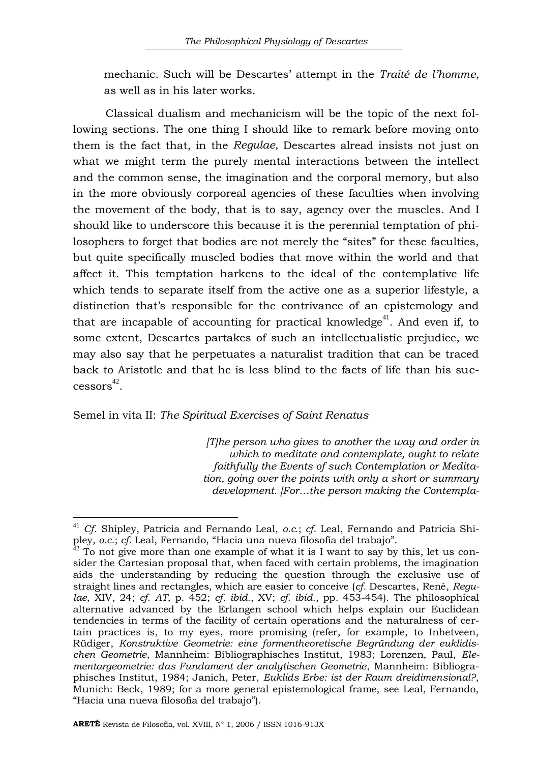mechanic. Such will be Descartes" attempt in the *Traité de l'homme*, as well as in his later works.

Classical dualism and mechanicism will be the topic of the next following sections. The one thing I should like to remark before moving onto them is the fact that, in the *Regulae,* Descartes alread insists not just on what we might term the purely mental interactions between the intellect and the common sense, the imagination and the corporal memory, but also in the more obviously corporeal agencies of these faculties when involving the movement of the body, that is to say, agency over the muscles. And I should like to underscore this because it is the perennial temptation of philosophers to forget that bodies are not merely the "sites" for these faculties, but quite specifically muscled bodies that move within the world and that affect it. This temptation harkens to the ideal of the contemplative life which tends to separate itself from the active one as a superior lifestyle, a distinction that's responsible for the contrivance of an epistemology and that are incapable of accounting for practical knowledge<sup>41</sup>. And even if, to some extent, Descartes partakes of such an intellectualistic prejudice, we may also say that he perpetuates a naturalist tradition that can be traced back to Aristotle and that he is less blind to the facts of life than his suc- ${\rm cessors}^{42}.$ 

Semel in vita II: *The Spiritual Exercises of Saint Renatus*

*[T]he person who gives to another the way and order in which to meditate and contemplate, ought to relate faithfully the Events of such Contemplation or Meditation, going over the points with only a short or summary development. [For…the person making the Contempla-*

<sup>41</sup> *Cf.* Shipley, Patricia and Fernando Leal, *o.c.*; *cf.* Leal, Fernando and Patricia Shipley, *o.c.*; *cf.* Leal, Fernando, "Hacia una nueva filosofía del trabajo".

 $\frac{4}{2}$  To not give more than one example of what it is I want to say by this, let us consider the Cartesian proposal that, when faced with certain problems, the imagination aids the understanding by reducing the question through the exclusive use of straight lines and rectangles, which are easier to conceive (*cf.* Descartes, René, *Regulae*, XIV, 24; *cf. AT,* p. 452; *cf. ibid.*, XV; *cf. ibid.*, pp. 453-454). The philosophical alternative advanced by the Erlangen school which helps explain our Euclidean tendencies in terms of the facility of certain operations and the naturalness of certain practices is, to my eyes, more promising (refer, for example, to Inhetveen, Rüdiger, *Konstruktive Geometrie: eine formentheoretische Begründung der euklidischen Geometrie*, Mannheim: Bibliographisches Institut, 1983; Lorenzen, Paul, *Elementargeometrie: das Fundament der analytischen Geometrie*, Mannheim: Bibliographisches Institut, 1984; Janich, Peter, *Euklids Erbe: ist der Raum dreidimensional?*, Munich: Beck, 1989; for a more general epistemological frame, see Leal, Fernando, "Hacia una nueva filosofía del trabajo").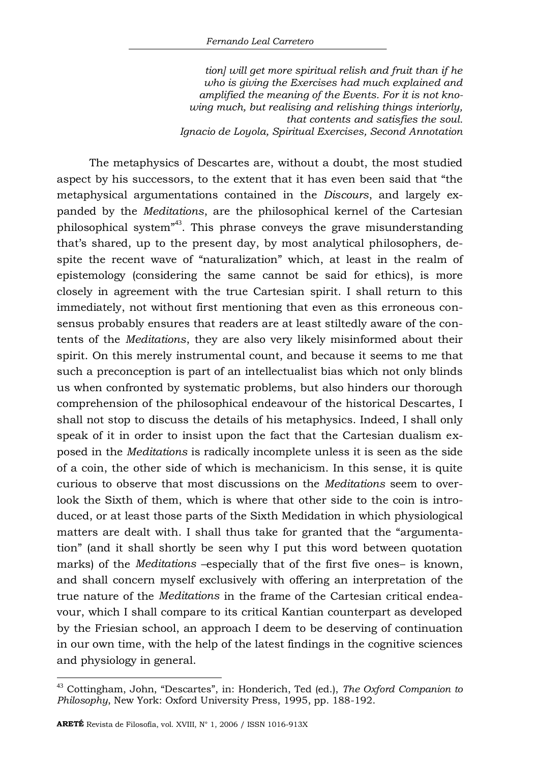*tion] will get more spiritual relish and fruit than if he who is giving the Exercises had much explained and amplified the meaning of the Events. For it is not knowing much, but realising and relishing things interiorly, that contents and satisfies the soul. Ignacio de Loyola, Spiritual Exercises, Second Annotation*

The metaphysics of Descartes are, without a doubt, the most studied aspect by his successors, to the extent that it has even been said that "the metaphysical argumentations contained in the *Discours*, and largely expanded by the *Meditations*, are the philosophical kernel of the Cartesian philosophical system $n^{43}$ . This phrase conveys the grave misunderstanding that"s shared, up to the present day, by most analytical philosophers, despite the recent wave of "naturalization" which, at least in the realm of epistemology (considering the same cannot be said for ethics), is more closely in agreement with the true Cartesian spirit. I shall return to this immediately, not without first mentioning that even as this erroneous consensus probably ensures that readers are at least stiltedly aware of the contents of the *Meditations*, they are also very likely misinformed about their spirit. On this merely instrumental count, and because it seems to me that such a preconception is part of an intellectualist bias which not only blinds us when confronted by systematic problems, but also hinders our thorough comprehension of the philosophical endeavour of the historical Descartes, I shall not stop to discuss the details of his metaphysics. Indeed, I shall only speak of it in order to insist upon the fact that the Cartesian dualism exposed in the *Meditations* is radically incomplete unless it is seen as the side of a coin, the other side of which is mechanicism. In this sense, it is quite curious to observe that most discussions on the *Meditations* seem to overlook the Sixth of them, which is where that other side to the coin is introduced, or at least those parts of the Sixth Medidation in which physiological matters are dealt with. I shall thus take for granted that the "argumentation" (and it shall shortly be seen why I put this word between quotation marks) of the *Meditations* –especially that of the first five ones– is known, and shall concern myself exclusively with offering an interpretation of the true nature of the *Meditations* in the frame of the Cartesian critical endeavour, which I shall compare to its critical Kantian counterpart as developed by the Friesian school, an approach I deem to be deserving of continuation in our own time, with the help of the latest findings in the cognitive sciences and physiology in general.

<sup>43</sup> Cottingham, John, "Descartes", in: Honderich, Ted (ed.), *The Oxford Companion to Philosophy*, New York: Oxford University Press, 1995, pp. 188-192.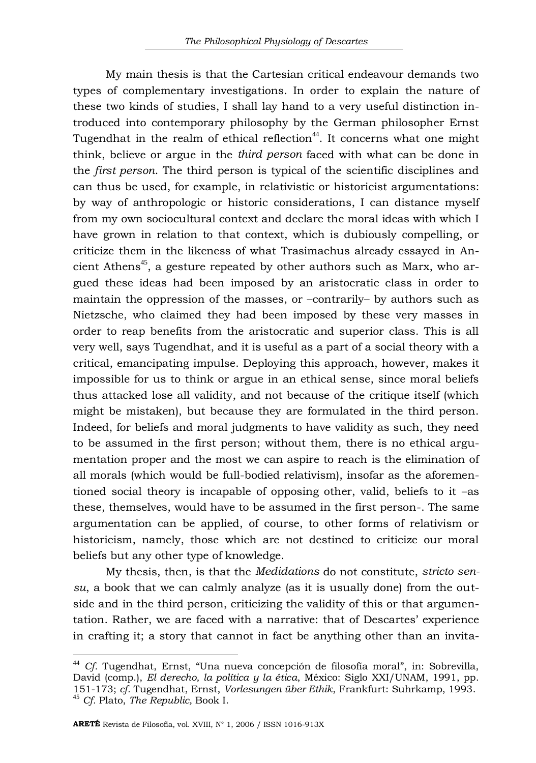My main thesis is that the Cartesian critical endeavour demands two types of complementary investigations. In order to explain the nature of these two kinds of studies, I shall lay hand to a very useful distinction introduced into contemporary philosophy by the German philosopher Ernst Tugendhat in the realm of ethical reflection<sup>44</sup>. It concerns what one might think, believe or argue in the *third person* faced with what can be done in the *first person*. The third person is typical of the scientific disciplines and can thus be used, for example, in relativistic or historicist argumentations: by way of anthropologic or historic considerations, I can distance myself from my own sociocultural context and declare the moral ideas with which I have grown in relation to that context, which is dubiously compelling, or criticize them in the likeness of what Trasimachus already essayed in Ancient Athens<sup>45</sup>, a gesture repeated by other authors such as Marx, who argued these ideas had been imposed by an aristocratic class in order to maintain the oppression of the masses, or –contrarily– by authors such as Nietzsche, who claimed they had been imposed by these very masses in order to reap benefits from the aristocratic and superior class. This is all very well, says Tugendhat, and it is useful as a part of a social theory with a critical, emancipating impulse. Deploying this approach, however, makes it impossible for us to think or argue in an ethical sense, since moral beliefs thus attacked lose all validity, and not because of the critique itself (which might be mistaken), but because they are formulated in the third person. Indeed, for beliefs and moral judgments to have validity as such, they need to be assumed in the first person; without them, there is no ethical argumentation proper and the most we can aspire to reach is the elimination of all morals (which would be full-bodied relativism), insofar as the aforementioned social theory is incapable of opposing other, valid, beliefs to it –as these, themselves, would have to be assumed in the first person-. The same argumentation can be applied, of course, to other forms of relativism or historicism, namely, those which are not destined to criticize our moral beliefs but any other type of knowledge.

My thesis, then, is that the *Medidations* do not constitute, *stricto sensu*, a book that we can calmly analyze (as it is usually done) from the outside and in the third person, criticizing the validity of this or that argumentation. Rather, we are faced with a narrative: that of Descartes' experience in crafting it; a story that cannot in fact be anything other than an invita-

<sup>44</sup> *Cf.* Tugendhat, Ernst, "Una nueva concepción de filosofía moral", in: Sobrevilla, David (comp.), *El derecho, la política y la ética*, México: Siglo XXI/UNAM, 1991, pp. 151-173; *cf.* Tugendhat, Ernst, *Vorlesungen über Ethik*, Frankfurt: Suhrkamp, 1993. <sup>45</sup> *Cf.* Plato, *The Republic,* Book I.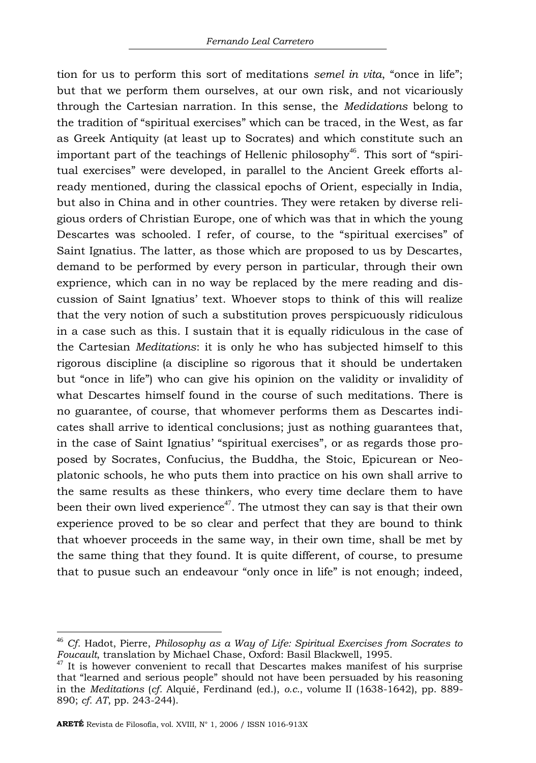tion for us to perform this sort of meditations *semel in vita*, "once in life"; but that we perform them ourselves, at our own risk, and not vicariously through the Cartesian narration. In this sense, the *Medidations* belong to the tradition of "spiritual exercises" which can be traced, in the West, as far as Greek Antiquity (at least up to Socrates) and which constitute such an important part of the teachings of Hellenic philosophy<sup>46</sup>. This sort of "spiritual exercises" were developed, in parallel to the Ancient Greek efforts already mentioned, during the classical epochs of Orient, especially in India, but also in China and in other countries. They were retaken by diverse religious orders of Christian Europe, one of which was that in which the young Descartes was schooled. I refer, of course, to the "spiritual exercises" of Saint Ignatius. The latter, as those which are proposed to us by Descartes, demand to be performed by every person in particular, through their own exprience, which can in no way be replaced by the mere reading and discussion of Saint Ignatius" text. Whoever stops to think of this will realize that the very notion of such a substitution proves perspicuously ridiculous in a case such as this. I sustain that it is equally ridiculous in the case of the Cartesian *Meditations*: it is only he who has subjected himself to this rigorous discipline (a discipline so rigorous that it should be undertaken but "once in life") who can give his opinion on the validity or invalidity of what Descartes himself found in the course of such meditations. There is no guarantee, of course, that whomever performs them as Descartes indicates shall arrive to identical conclusions; just as nothing guarantees that, in the case of Saint Ignatius" "spiritual exercises", or as regards those proposed by Socrates, Confucius, the Buddha, the Stoic, Epicurean or Neoplatonic schools, he who puts them into practice on his own shall arrive to the same results as these thinkers, who every time declare them to have been their own lived experience<sup>47</sup>. The utmost they can say is that their own experience proved to be so clear and perfect that they are bound to think that whoever proceeds in the same way, in their own time, shall be met by the same thing that they found. It is quite different, of course, to presume that to pusue such an endeavour "only once in life" is not enough; indeed,

<sup>46</sup> *Cf.* Hadot, Pierre, *Philosophy as a Way of Life: Spiritual Exercises from Socrates to Foucault*, translation by Michael Chase, Oxford: Basil Blackwell, 1995.

 $47$  It is however convenient to recall that Descartes makes manifest of his surprise that "learned and serious people" should not have been persuaded by his reasoning in the *Meditations* (*cf.* Alquié, Ferdinand (ed.), *o.c.*, volume II (1638-1642), pp. 889- 890; *cf. AT*, pp. 243-244).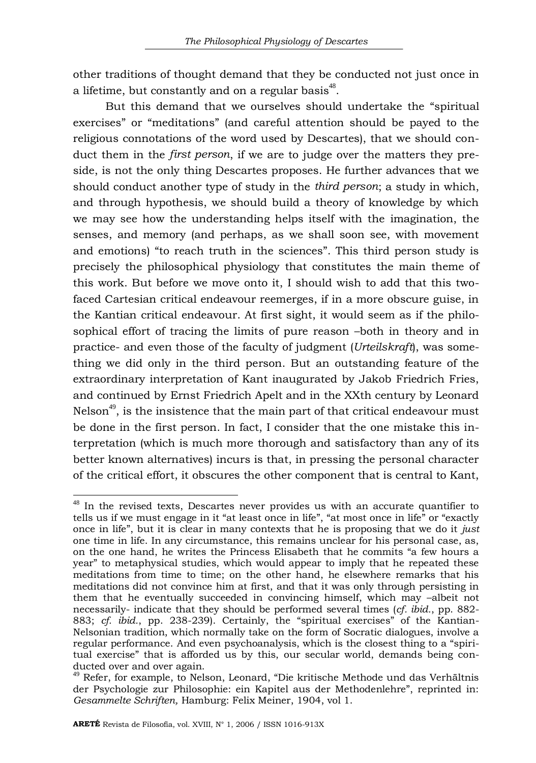other traditions of thought demand that they be conducted not just once in a lifetime, but constantly and on a regular basis $^{\rm 48}.$ 

But this demand that we ourselves should undertake the "spiritual exercises" or "meditations" (and careful attention should be payed to the religious connotations of the word used by Descartes), that we should conduct them in the *first person*, if we are to judge over the matters they preside, is not the only thing Descartes proposes. He further advances that we should conduct another type of study in the *third person*; a study in which, and through hypothesis, we should build a theory of knowledge by which we may see how the understanding helps itself with the imagination, the senses, and memory (and perhaps, as we shall soon see, with movement and emotions) "to reach truth in the sciences". This third person study is precisely the philosophical physiology that constitutes the main theme of this work. But before we move onto it, I should wish to add that this twofaced Cartesian critical endeavour reemerges, if in a more obscure guise, in the Kantian critical endeavour. At first sight, it would seem as if the philosophical effort of tracing the limits of pure reason –both in theory and in practice- and even those of the faculty of judgment (*Urteilskraft*), was something we did only in the third person. But an outstanding feature of the extraordinary interpretation of Kant inaugurated by Jakob Friedrich Fries, and continued by Ernst Friedrich Apelt and in the XXth century by Leonard Nelson<sup>49</sup>, is the insistence that the main part of that critical endeavour must be done in the first person. In fact, I consider that the one mistake this interpretation (which is much more thorough and satisfactory than any of its better known alternatives) incurs is that, in pressing the personal character of the critical effort, it obscures the other component that is central to Kant,

<sup>&</sup>lt;sup>48</sup> In the revised texts, Descartes never provides us with an accurate quantifier to tells us if we must engage in it "at least once in life", "at most once in life" or "exactly once in life", but it is clear in many contexts that he is proposing that we do it *just* one time in life. In any circumstance, this remains unclear for his personal case, as, on the one hand, he writes the Princess Elisabeth that he commits "a few hours a year" to metaphysical studies, which would appear to imply that he repeated these meditations from time to time; on the other hand, he elsewhere remarks that his meditations did not convince him at first, and that it was only through persisting in them that he eventually succeeded in convincing himself, which may –albeit not necessarily- indicate that they should be performed several times (*cf. ibid.*, pp. 882- 883; *cf. ibid.*, pp. 238-239). Certainly, the "spiritual exercises" of the Kantian-Nelsonian tradition, which normally take on the form of Socratic dialogues, involve a regular performance. And even psychoanalysis, which is the closest thing to a "spiritual exercise" that is afforded us by this, our secular world, demands being conducted over and over again.

<sup>49</sup> Refer, for example, to Nelson, Leonard, "Die kritische Methode und das Verhältnis der Psychologie zur Philosophie: ein Kapitel aus der Methodenlehre", reprinted in: *Gesammelte Schriften,* Hamburg: Felix Meiner, 1904, vol 1.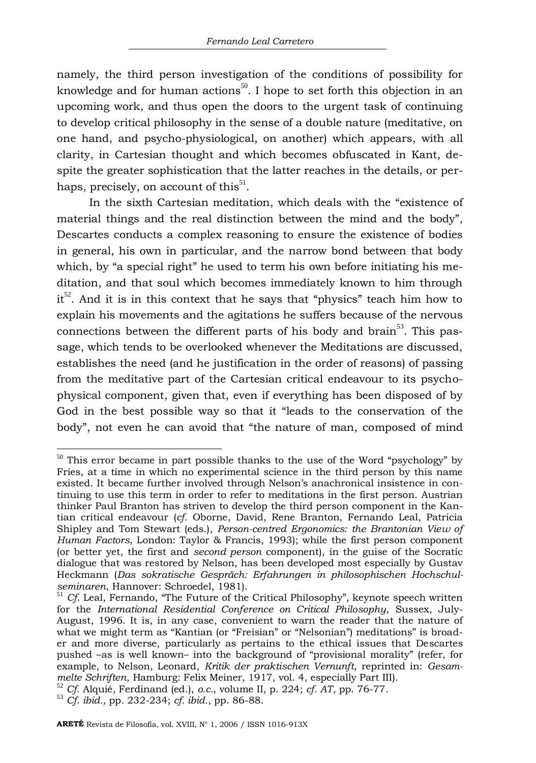namely, the third person investigation of the conditions of possibility for knowledge and for human actions<sup>50</sup>. I hope to set forth this objection in an upcoming work, and thus open the doors to the urgent task of continuing to develop critical philosophy in the sense of a double nature (meditative, on one hand, and psycho-physiological, on another) which appears, with all clarity, in Cartesian thought and which becomes obfuscated in Kant, despite the greater sophistication that the latter reaches in the details, or perhaps, precisely, on account of this $^{\rm 51}.$ 

In the sixth Cartesian meditation, which deals with the "existence of material things and the real distinction between the mind and the body", Descartes conducts a complex reasoning to ensure the existence of bodies in general, his own in particular, and the narrow bond between that body which, by "a special right" he used to term his own before initiating his meditation, and that soul which becomes immediately known to him through  $it^{52}$ . And it is in this context that he says that "physics" teach him how to explain his movements and the agitations he suffers because of the nervous connections between the different parts of his body and brain<sup>53</sup>. This passage, which tends to be overlooked whenever the Meditations are discussed, establishes the need (and he justification in the order of reasons) of passing from the meditative part of the Cartesian critical endeavour to its psychophysical component, given that, even if everything has been disposed of by God in the best possible way so that it "leads to the conservation of the body", not even he can avoid that "the nature of man, composed of mind

 $50$  This error became in part possible thanks to the use of the Word "psychology" by Fries, at a time in which no experimental science in the third person by this name existed. It became further involved through Nelson"s anachronical insistence in continuing to use this term in order to refer to meditations in the first person. Austrian thinker Paul Branton has striven to develop the third person component in the Kantian critical endeavour (*cf.* Oborne, David, Rene Branton, Fernando Leal, Patricia Shipley and Tom Stewart (eds.), *Person-centred Ergonomics: the Brantonian View of Human Factors*, London: Taylor & Francis, 1993); while the first person component (or better yet, the first and *second person* component), in the guise of the Socratic dialogue that was restored by Nelson, has been developed most especially by Gustav Heckmann (*Das sokratische Gespräch: Erfahrungen in philosophischen Hochschulseminaren*, Hannover: Schroedel, 1981).

<sup>51</sup> *Cf.* Leal, Fernando, "The Future of the Critical Philosophy", keynote speech written for the *International Residential Conference on Critical Philosophy*, Sussex, July-August, 1996. It is, in any case, convenient to warn the reader that the nature of what we might term as "Kantian (or "Freisian" or "Nelsonian") meditations" is broader and more diverse, particularly as pertains to the ethical issues that Descartes pushed –as is well known– into the background of "provisional morality" (refer, for example, to Nelson, Leonard, *Kritik der praktischen Vernunft*, reprinted in: *Gesammelte Schriften*, Hamburg: Felix Meiner, 1917, vol. 4, especially Part III).

<sup>52</sup> *Cf.* Alquié, Ferdinand (ed.), *o.c.*, volume II, p. 224; *cf. AT*, pp. 76-77.

<sup>53</sup> *Cf. ibid.,* pp. 232-234; *cf. ibid.*, pp. 86-88.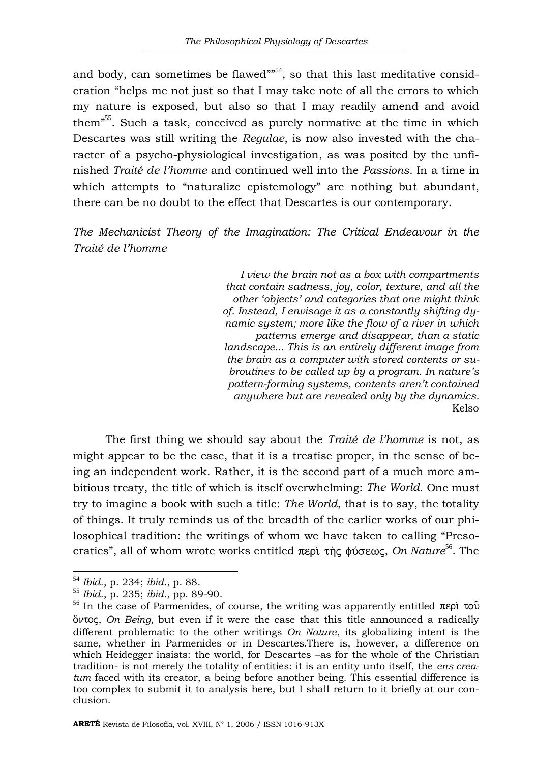and body, can sometimes be flawed $\mathbf{w}^{m54}$ , so that this last meditative consideration "helps me not just so that I may take note of all the errors to which my nature is exposed, but also so that I may readily amend and avoid them<sup>355</sup>. Such a task, conceived as purely normative at the time in which Descartes was still writing the *Regulae*, is now also invested with the character of a psycho-physiological investigation, as was posited by the unfinished *Traité de l'homme* and continued well into the *Passions*. In a time in which attempts to "naturalize epistemology" are nothing but abundant, there can be no doubt to the effect that Descartes is our contemporary.

*The Mechanicist Theory of the Imagination: The Critical Endeavour in the Traité de l'homme*

> *I view the brain not as a box with compartments that contain sadness, joy, color, texture, and all the other 'objects' and categories that one might think of. Instead, I envisage it as a constantly shifting dynamic system; more like the flow of a river in which patterns emerge and disappear, than a static landscape... This is an entirely different image from the brain as a computer with stored contents or subroutines to be called up by a program. In nature's pattern-forming systems, contents aren't contained anywhere but are revealed only by the dynamics.* Kelso

The first thing we should say about the *Traité de l'homme* is not, as might appear to be the case, that it is a treatise proper, in the sense of being an independent work. Rather, it is the second part of a much more ambitious treaty, the title of which is itself overwhelming: *The World*. One must try to imagine a book with such a title: *The World*, that is to say, the totality of things. It truly reminds us of the breadth of the earlier works of our philosophical tradition: the writings of whom we have taken to calling "Presocratics", all of whom wrote works entitled περί της φύσεως, *On Nature*<sup>56</sup>. The

<sup>54</sup> *Ibid.*, p. 234; *ibid.*, p. 88.

<sup>55</sup> *Ibid.*, p. 235; *ibid.*, pp. 89-90.

<sup>&</sup>lt;sup>56</sup> In the case of Parmenides, of course, the writing was apparently entitled  $\pi \epsilon \rho \tilde{\nu}$  $\delta \nu \tau$ oc, *On Being*, but even if it were the case that this title announced a radically different problematic to the other writings *On Nature*, its globalizing intent is the same, whether in Parmenides or in Descartes.There is, however, a difference on which Heidegger insists: the world, for Descartes –as for the whole of the Christian tradition- is not merely the totality of entities: it is an entity unto itself, the *ens creatum* faced with its creator, a being before another being. This essential difference is too complex to submit it to analysis here, but I shall return to it briefly at our conclusion.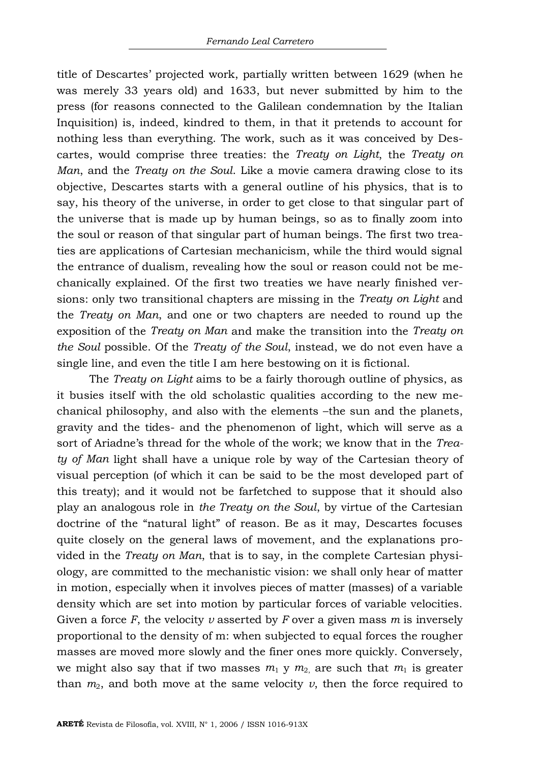title of Descartes" projected work, partially written between 1629 (when he was merely 33 years old) and 1633, but never submitted by him to the press (for reasons connected to the Galilean condemnation by the Italian Inquisition) is, indeed, kindred to them, in that it pretends to account for nothing less than everything. The work, such as it was conceived by Descartes, would comprise three treaties: the *Treaty on Light*, the *Treaty on Man*, and the *Treaty on the Soul*. Like a movie camera drawing close to its objective, Descartes starts with a general outline of his physics, that is to say, his theory of the universe, in order to get close to that singular part of the universe that is made up by human beings, so as to finally zoom into the soul or reason of that singular part of human beings. The first two treaties are applications of Cartesian mechanicism, while the third would signal the entrance of dualism, revealing how the soul or reason could not be mechanically explained. Of the first two treaties we have nearly finished versions: only two transitional chapters are missing in the *Treaty on Light* and the *Treaty on Man*, and one or two chapters are needed to round up the exposition of the *Treaty on Man* and make the transition into the *Treaty on the Soul* possible. Of the *Treaty of the Soul*, instead, we do not even have a single line, and even the title I am here bestowing on it is fictional.

The *Treaty on Light* aims to be a fairly thorough outline of physics, as it busies itself with the old scholastic qualities according to the new mechanical philosophy, and also with the elements –the sun and the planets, gravity and the tides- and the phenomenon of light, which will serve as a sort of Ariadne"s thread for the whole of the work; we know that in the *Treaty of Man* light shall have a unique role by way of the Cartesian theory of visual perception (of which it can be said to be the most developed part of this treaty); and it would not be farfetched to suppose that it should also play an analogous role in *the Treaty on the Soul*, by virtue of the Cartesian doctrine of the "natural light" of reason. Be as it may, Descartes focuses quite closely on the general laws of movement, and the explanations provided in the *Treaty on Man*, that is to say, in the complete Cartesian physiology, are committed to the mechanistic vision: we shall only hear of matter in motion, especially when it involves pieces of matter (masses) of a variable density which are set into motion by particular forces of variable velocities. Given a force *F*, the velocity  $\nu$  asserted by *F* over a given mass *m* is inversely proportional to the density of m: when subjected to equal forces the rougher masses are moved more slowly and the finer ones more quickly. Conversely, we might also say that if two masses  $m_1$  y  $m_2$  are such that  $m_1$  is greater than  $m_2$ , and both move at the same velocity  $\nu$ , then the force required to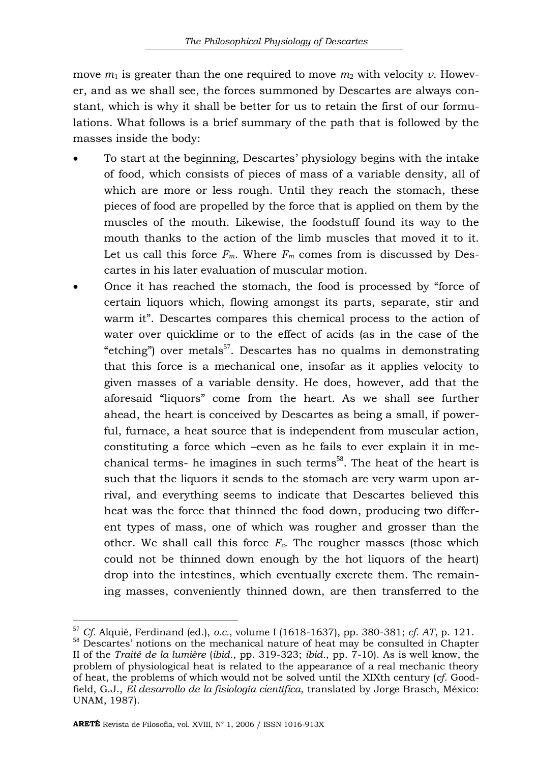move  $m_1$  is greater than the one required to move  $m_2$  with velocity *v*. However, and as we shall see, the forces summoned by Descartes are always constant, which is why it shall be better for us to retain the first of our formulations. What follows is a brief summary of the path that is followed by the masses inside the body:

- To start at the beginning, Descartes" physiology begins with the intake of food, which consists of pieces of mass of a variable density, all of which are more or less rough. Until they reach the stomach, these pieces of food are propelled by the force that is applied on them by the muscles of the mouth. Likewise, the foodstuff found its way to the mouth thanks to the action of the limb muscles that moved it to it. Let us call this force  $F_m$ . Where  $F_m$  comes from is discussed by Descartes in his later evaluation of muscular motion.
- Once it has reached the stomach, the food is processed by "force of certain liquors which, flowing amongst its parts, separate, stir and warm it". Descartes compares this chemical process to the action of water over quicklime or to the effect of acids (as in the case of the "etching") over metals<sup>57</sup>. Descartes has no qualms in demonstrating that this force is a mechanical one, insofar as it applies velocity to given masses of a variable density. He does, however, add that the aforesaid "liquors" come from the heart. As we shall see further ahead, the heart is conceived by Descartes as being a small, if powerful, furnace, a heat source that is independent from muscular action, constituting a force which –even as he fails to ever explain it in mechanical terms- he imagines in such terms<sup>58</sup>. The heat of the heart is such that the liquors it sends to the stomach are very warm upon arrival, and everything seems to indicate that Descartes believed this heat was the force that thinned the food down, producing two different types of mass, one of which was rougher and grosser than the other. We shall call this force *Fc*. The rougher masses (those which could not be thinned down enough by the hot liquors of the heart) drop into the intestines, which eventually excrete them. The remaining masses, conveniently thinned down, are then transferred to the

<sup>57</sup> *Cf.* Alquié, Ferdinand (ed.), *o.c.*, volume I (1618-1637), pp. 380-381; *cf. AT*, p. 121.

 $58$  Descartes' notions on the mechanical nature of heat may be consulted in Chapter II of the *Traité de la lumière* (*ibid.*, pp. 319-323; *ibid.*, pp. 7-10). As is well know, the problem of physiological heat is related to the appearance of a real mechanic theory of heat, the problems of which would not be solved until the XIXth century (*cf.* Goodfield, G.J., *El desarrollo de la fisiología científica*, translated by Jorge Brasch, México: UNAM, 1987).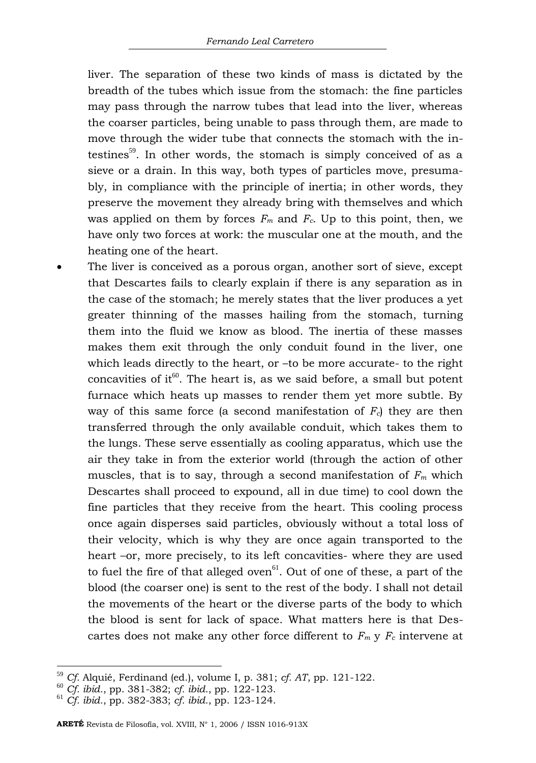liver. The separation of these two kinds of mass is dictated by the breadth of the tubes which issue from the stomach: the fine particles may pass through the narrow tubes that lead into the liver, whereas the coarser particles, being unable to pass through them, are made to move through the wider tube that connects the stomach with the intestines<sup>59</sup>. In other words, the stomach is simply conceived of as a sieve or a drain. In this way, both types of particles move, presumably, in compliance with the principle of inertia; in other words, they preserve the movement they already bring with themselves and which was applied on them by forces  $F_m$  and  $F_c$ . Up to this point, then, we have only two forces at work: the muscular one at the mouth, and the heating one of the heart.

 The liver is conceived as a porous organ, another sort of sieve, except that Descartes fails to clearly explain if there is any separation as in the case of the stomach; he merely states that the liver produces a yet greater thinning of the masses hailing from the stomach, turning them into the fluid we know as blood. The inertia of these masses makes them exit through the only conduit found in the liver, one which leads directly to the heart, or –to be more accurate- to the right concavities of it<sup>60</sup>. The heart is, as we said before, a small but potent furnace which heats up masses to render them yet more subtle. By way of this same force (a second manifestation of  $F_c$ ) they are then transferred through the only available conduit, which takes them to the lungs. These serve essentially as cooling apparatus, which use the air they take in from the exterior world (through the action of other muscles, that is to say, through a second manifestation of  $F_m$  which Descartes shall proceed to expound, all in due time) to cool down the fine particles that they receive from the heart. This cooling process once again disperses said particles, obviously without a total loss of their velocity, which is why they are once again transported to the heart –or, more precisely, to its left concavities- where they are used to fuel the fire of that alleged oven $61$ . Out of one of these, a part of the blood (the coarser one) is sent to the rest of the body. I shall not detail the movements of the heart or the diverse parts of the body to which the blood is sent for lack of space. What matters here is that Descartes does not make any other force different to  $F_m$  y  $F_c$  intervene at

<sup>59</sup> *Cf.* Alquié, Ferdinand (ed.), volume I, p. 381; *cf. AT*, pp. 121-122.

<sup>60</sup> *Cf. ibid.*, pp. 381-382; *cf. ibid.*, pp. 122-123.

<sup>61</sup> *Cf. ibid.*, pp. 382-383; *cf. ibid.*, pp. 123-124.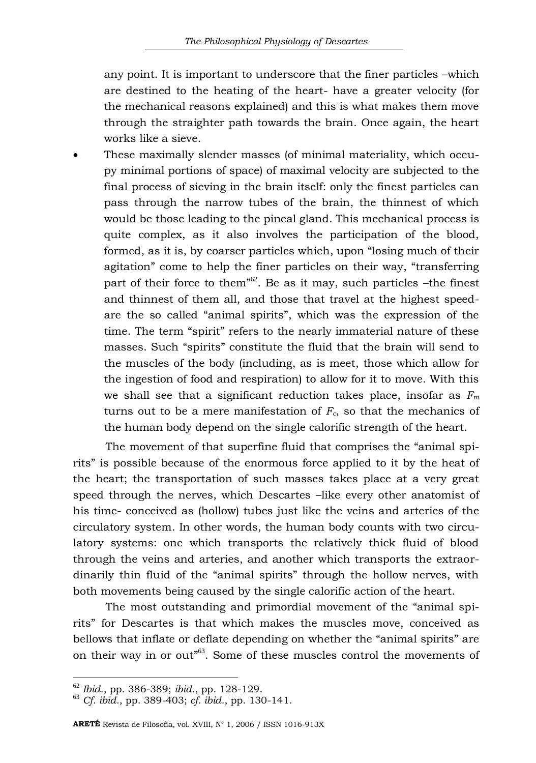any point. It is important to underscore that the finer particles –which are destined to the heating of the heart- have a greater velocity (for the mechanical reasons explained) and this is what makes them move through the straighter path towards the brain. Once again, the heart works like a sieve.

 These maximally slender masses (of minimal materiality, which occupy minimal portions of space) of maximal velocity are subjected to the final process of sieving in the brain itself: only the finest particles can pass through the narrow tubes of the brain, the thinnest of which would be those leading to the pineal gland. This mechanical process is quite complex, as it also involves the participation of the blood, formed, as it is, by coarser particles which, upon "losing much of their agitation" come to help the finer particles on their way, "transferring part of their force to them<sup> $n^{62}$ </sup>. Be as it may, such particles -the finest and thinnest of them all, and those that travel at the highest speedare the so called "animal spirits", which was the expression of the time. The term "spirit" refers to the nearly immaterial nature of these masses. Such "spirits" constitute the fluid that the brain will send to the muscles of the body (including, as is meet, those which allow for the ingestion of food and respiration) to allow for it to move. With this we shall see that a significant reduction takes place, insofar as *F<sup>m</sup>* turns out to be a mere manifestation of  $F_c$ , so that the mechanics of the human body depend on the single calorific strength of the heart.

The movement of that superfine fluid that comprises the "animal spirits" is possible because of the enormous force applied to it by the heat of the heart; the transportation of such masses takes place at a very great speed through the nerves, which Descartes –like every other anatomist of his time- conceived as (hollow) tubes just like the veins and arteries of the circulatory system. In other words, the human body counts with two circulatory systems: one which transports the relatively thick fluid of blood through the veins and arteries, and another which transports the extraordinarily thin fluid of the "animal spirits" through the hollow nerves, with both movements being caused by the single calorific action of the heart.

The most outstanding and primordial movement of the "animal spirits" for Descartes is that which makes the muscles move, conceived as bellows that inflate or deflate depending on whether the "animal spirits" are on their way in or out<sup>"63</sup>. Some of these muscles control the movements of

<sup>62</sup> *Ibid.*, pp. 386-389; *ibid.*, pp. 128-129.

<sup>63</sup> *Cf. ibid.*, pp. 389-403; *cf. ibid.*, pp. 130-141.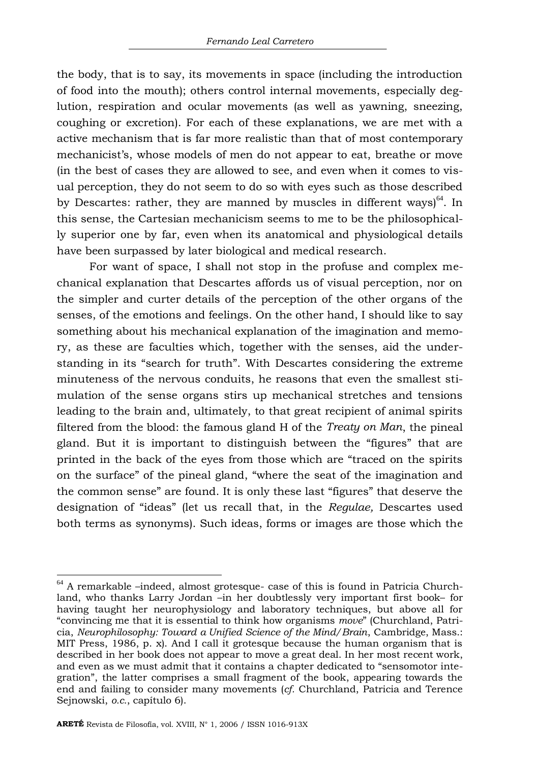the body, that is to say, its movements in space (including the introduction of food into the mouth); others control internal movements, especially deglution, respiration and ocular movements (as well as yawning, sneezing, coughing or excretion). For each of these explanations, we are met with a active mechanism that is far more realistic than that of most contemporary mechanicist's, whose models of men do not appear to eat, breathe or move (in the best of cases they are allowed to see, and even when it comes to visual perception, they do not seem to do so with eyes such as those described by Descartes: rather, they are manned by muscles in different ways) $^{64}$ . In this sense, the Cartesian mechanicism seems to me to be the philosophically superior one by far, even when its anatomical and physiological details have been surpassed by later biological and medical research.

For want of space, I shall not stop in the profuse and complex mechanical explanation that Descartes affords us of visual perception, nor on the simpler and curter details of the perception of the other organs of the senses, of the emotions and feelings. On the other hand, I should like to say something about his mechanical explanation of the imagination and memory, as these are faculties which, together with the senses, aid the understanding in its "search for truth". With Descartes considering the extreme minuteness of the nervous conduits, he reasons that even the smallest stimulation of the sense organs stirs up mechanical stretches and tensions leading to the brain and, ultimately, to that great recipient of animal spirits filtered from the blood: the famous gland H of the *Treaty on Man*, the pineal gland. But it is important to distinguish between the "figures" that are printed in the back of the eyes from those which are "traced on the spirits on the surface" of the pineal gland, "where the seat of the imagination and the common sense" are found. It is only these last "figures" that deserve the designation of "ideas" (let us recall that, in the *Regulae,* Descartes used both terms as synonyms). Such ideas, forms or images are those which the

 $64$  A remarkable –indeed, almost grotesque- case of this is found in Patricia Churchland, who thanks Larry Jordan –in her doubtlessly very important first book– for having taught her neurophysiology and laboratory techniques, but above all for "convincing me that it is essential to think how organisms *move*" (Churchland, Patricia, *Neurophilosophy: Toward a Unified Science of the Mind/Brain*, Cambridge, Mass.: MIT Press, 1986, p. x). And I call it grotesque because the human organism that is described in her book does not appear to move a great deal. In her most recent work, and even as we must admit that it contains a chapter dedicated to "sensomotor integration", the latter comprises a small fragment of the book, appearing towards the end and failing to consider many movements (*cf.* Churchland, Patricia and Terence Sejnowski, *o.c.*, capítulo 6).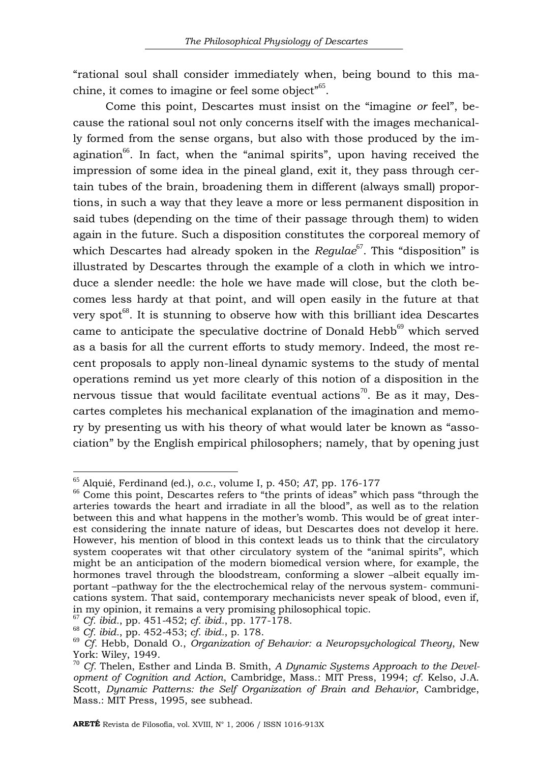"rational soul shall consider immediately when, being bound to this machine, it comes to imagine or feel some object"<sup>65</sup>.

Come this point, Descartes must insist on the "imagine *or* feel", because the rational soul not only concerns itself with the images mechanically formed from the sense organs, but also with those produced by the imagination<sup>66</sup>. In fact, when the "animal spirits", upon having received the impression of some idea in the pineal gland, exit it, they pass through certain tubes of the brain, broadening them in different (always small) proportions, in such a way that they leave a more or less permanent disposition in said tubes (depending on the time of their passage through them) to widen again in the future. Such a disposition constitutes the corporeal memory of which Descartes had already spoken in the *Regulae<sup>67</sup>*. This "disposition" is illustrated by Descartes through the example of a cloth in which we introduce a slender needle: the hole we have made will close, but the cloth becomes less hardy at that point, and will open easily in the future at that very spot $^{68}$ . It is stunning to observe how with this brilliant idea Descartes came to anticipate the speculative doctrine of Donald Hebb $^{69}$  which served as a basis for all the current efforts to study memory. Indeed, the most recent proposals to apply non-lineal dynamic systems to the study of mental operations remind us yet more clearly of this notion of a disposition in the nervous tissue that would facilitate eventual actions<sup>70</sup>. Be as it may, Descartes completes his mechanical explanation of the imagination and memory by presenting us with his theory of what would later be known as "association" by the English empirical philosophers; namely, that by opening just

<sup>65</sup> Alquié, Ferdinand (ed.), *o.c.*, volume I, p. 450; *AT*, pp. 176-177

 $66$  Come this point, Descartes refers to "the prints of ideas" which pass "through the arteries towards the heart and irradiate in all the blood", as well as to the relation between this and what happens in the mother"s womb. This would be of great interest considering the innate nature of ideas, but Descartes does not develop it here. However, his mention of blood in this context leads us to think that the circulatory system cooperates wit that other circulatory system of the "animal spirits", which might be an anticipation of the modern biomedical version where, for example, the hormones travel through the bloodstream, conforming a slower –albeit equally important –pathway for the the electrochemical relay of the nervous system- communications system. That said, contemporary mechanicists never speak of blood, even if, in my opinion, it remains a very promising philosophical topic.

<sup>67</sup> *Cf. ibid.*, pp. 451-452; *cf. ibid.*, pp. 177-178.

<sup>68</sup> *Cf. ibid.*, pp. 452-453; *cf. ibid.*, p. 178.

<sup>69</sup> *Cf.* Hebb, Donald O., *Organization of Behavior: a Neuropsychological Theory*, New York: Wiley, 1949.

<sup>70</sup> *Cf.* Thelen, Esther and Linda B. Smith, *A Dynamic Systems Approach to the Development of Cognition and Action*, Cambridge, Mass.: MIT Press, 1994; *cf.* Kelso, J.A. Scott, *Dynamic Patterns: the Self Organization of Brain and Behavior*, Cambridge, Mass.: MIT Press, 1995, see subhead.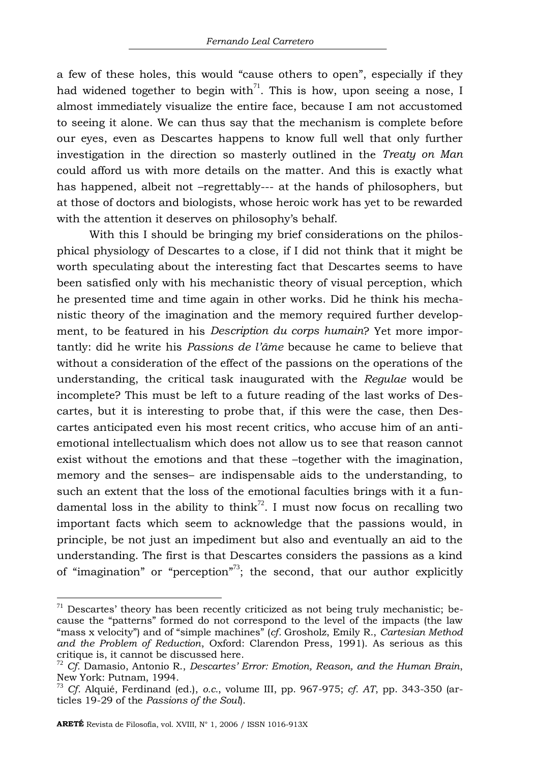a few of these holes, this would "cause others to open", especially if they had widened together to begin with<sup>71</sup>. This is how, upon seeing a nose, I almost immediately visualize the entire face, because I am not accustomed to seeing it alone. We can thus say that the mechanism is complete before our eyes, even as Descartes happens to know full well that only further investigation in the direction so masterly outlined in the *Treaty on Man* could afford us with more details on the matter. And this is exactly what has happened, albeit not –regrettably--- at the hands of philosophers, but at those of doctors and biologists, whose heroic work has yet to be rewarded with the attention it deserves on philosophy's behalf.

With this I should be bringing my brief considerations on the philosphical physiology of Descartes to a close, if I did not think that it might be worth speculating about the interesting fact that Descartes seems to have been satisfied only with his mechanistic theory of visual perception, which he presented time and time again in other works. Did he think his mechanistic theory of the imagination and the memory required further development, to be featured in his *Description du corps humain*? Yet more importantly: did he write his *Passions de l'âme* because he came to believe that without a consideration of the effect of the passions on the operations of the understanding, the critical task inaugurated with the *Regulae* would be incomplete? This must be left to a future reading of the last works of Descartes, but it is interesting to probe that, if this were the case, then Descartes anticipated even his most recent critics, who accuse him of an antiemotional intellectualism which does not allow us to see that reason cannot exist without the emotions and that these –together with the imagination, memory and the senses– are indispensable aids to the understanding, to such an extent that the loss of the emotional faculties brings with it a fundamental loss in the ability to think<sup>72</sup>. I must now focus on recalling two important facts which seem to acknowledge that the passions would, in principle, be not just an impediment but also and eventually an aid to the understanding. The first is that Descartes considers the passions as a kind of "imagination" or "perception"<sup>73</sup>; the second, that our author explicitly

 $71$  Descartes' theory has been recently criticized as not being truly mechanistic; because the "patterns" formed do not correspond to the level of the impacts (the law "mass x velocity") and of "simple machines" (*cf.* Grosholz, Emily R., *Cartesian Method and the Problem of Reduction*, Oxford: Clarendon Press, 1991). As serious as this critique is, it cannot be discussed here.

<sup>72</sup> *Cf.* Damasio, Antonio R., *Descartes' Error: Emotion, Reason, and the Human Brain*, New York: Putnam, 1994.

<sup>73</sup> *Cf.* Alquié, Ferdinand (ed.), *o.c.*, volume III, pp. 967-975; *cf. AT*, pp. 343-350 (articles 19-29 of the *Passions of the Soul*).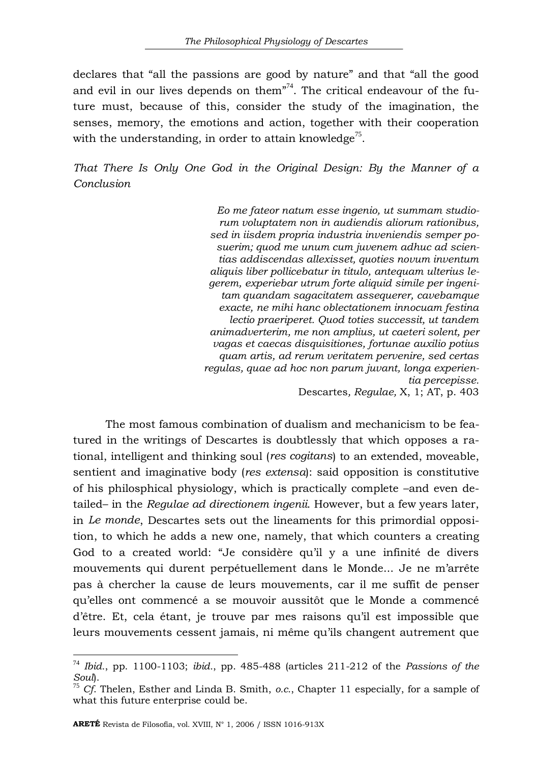declares that "all the passions are good by nature" and that "all the good and evil in our lives depends on them $^{7/4}$ . The critical endeavour of the future must, because of this, consider the study of the imagination, the senses, memory, the emotions and action, together with their cooperation with the understanding, in order to attain knowledge $^{75}.$ 

*That There Is Only One God in the Original Design: By the Manner of a Conclusion*

> *Eo me fateor natum esse ingenio, ut summam studiorum voluptatem non in audiendis aliorum rationibus, sed in iisdem propria industria inveniendis semper posuerim; quod me unum cum juvenem adhuc ad scientias addiscendas allexisset, quoties novum inventum aliquis liber pollicebatur in titulo, antequam ulterius legerem, experiebar utrum forte aliquid simile per ingenitam quandam sagacitatem assequerer, cavebamque exacte, ne mihi hanc oblectationem innocuam festina lectio praeriperet. Quod toties successit, ut tandem animadverterim, me non amplius, ut caeteri solent, per vagas et caecas disquisitiones, fortunae auxilio potius quam artis, ad rerum veritatem pervenire, sed certas regulas, quae ad hoc non parum juvant, longa experientia percepisse.* Descartes*, Regulae,* X, 1; AT, p. 403

The most famous combination of dualism and mechanicism to be featured in the writings of Descartes is doubtlessly that which opposes a rational, intelligent and thinking soul (*res cogitans*) to an extended, moveable, sentient and imaginative body (*res extensa*): said opposition is constitutive of his philosphical physiology, which is practically complete –and even detailed– in the *Regulae ad directionem ingenii*. However, but a few years later, in *Le monde*, Descartes sets out the lineaments for this primordial opposition, to which he adds a new one, namely, that which counters a creating God to a created world: "Je considère qu"il y a une infinité de divers mouvements qui durent perpétuellement dans le Monde... Je ne m"arrête pas à chercher la cause de leurs mouvements, car il me suffit de penser qu"elles ont commencé a se mouvoir aussitôt que le Monde a commencé d"être. Et, cela étant, je trouve par mes raisons qu"il est impossible que leurs mouvements cessent jamais, ni même qu"ils changent autrement que

<sup>74</sup> *Ibid.*, pp. 1100-1103; *ibid.*, pp. 485-488 (articles 211-212 of the *Passions of the Soul*).

<sup>75</sup> *Cf*. Thelen, Esther and Linda B. Smith, *o.c.*, Chapter 11 especially, for a sample of what this future enterprise could be.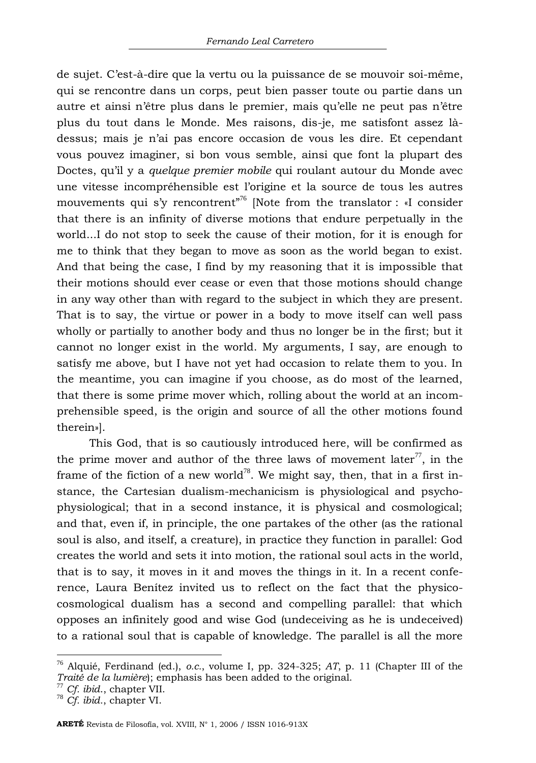de sujet. C"est-à-dire que la vertu ou la puissance de se mouvoir soi-même, qui se rencontre dans un corps, peut bien passer toute ou partie dans un autre et ainsi n"être plus dans le premier, mais qu"elle ne peut pas n"être plus du tout dans le Monde. Mes raisons, dis-je, me satisfont assez làdessus; mais je n"ai pas encore occasion de vous les dire. Et cependant vous pouvez imaginer, si bon vous semble, ainsi que font la plupart des Doctes, qu"il y a *quelque premier mobile* qui roulant autour du Monde avec une vitesse incompréhensible est l"origine et la source de tous les autres mouvements qui s'y rencontrent<sup> $n^{76}$ </sup> [Note from the translator : «I consider that there is an infinity of diverse motions that endure perpetually in the world...I do not stop to seek the cause of their motion, for it is enough for me to think that they began to move as soon as the world began to exist. And that being the case, I find by my reasoning that it is impossible that their motions should ever cease or even that those motions should change in any way other than with regard to the subject in which they are present. That is to say, the virtue or power in a body to move itself can well pass wholly or partially to another body and thus no longer be in the first; but it cannot no longer exist in the world. My arguments, I say, are enough to satisfy me above, but I have not yet had occasion to relate them to you. In the meantime, you can imagine if you choose, as do most of the learned, that there is some prime mover which, rolling about the world at an incomprehensible speed, is the origin and source of all the other motions found therein»].

This God, that is so cautiously introduced here, will be confirmed as the prime mover and author of the three laws of movement later<sup>77</sup>, in the frame of the fiction of a new world<sup>78</sup>. We might say, then, that in a first instance, the Cartesian dualism-mechanicism is physiological and psychophysiological; that in a second instance, it is physical and cosmological; and that, even if, in principle, the one partakes of the other (as the rational soul is also, and itself, a creature), in practice they function in parallel: God creates the world and sets it into motion, the rational soul acts in the world, that is to say, it moves in it and moves the things in it. In a recent conference, Laura Benítez invited us to reflect on the fact that the physicocosmological dualism has a second and compelling parallel: that which opposes an infinitely good and wise God (undeceiving as he is undeceived) to a rational soul that is capable of knowledge. The parallel is all the more

<sup>76</sup> Alquié, Ferdinand (ed.), *o.c.*, volume I, pp. 324-325; *AT*, p. 11 (Chapter III of the *Traité de la lumière*); emphasis has been added to the original.

Cf. *ibid.*, chapter VII.

<sup>78</sup> *Cf. ibid.*, chapter VI.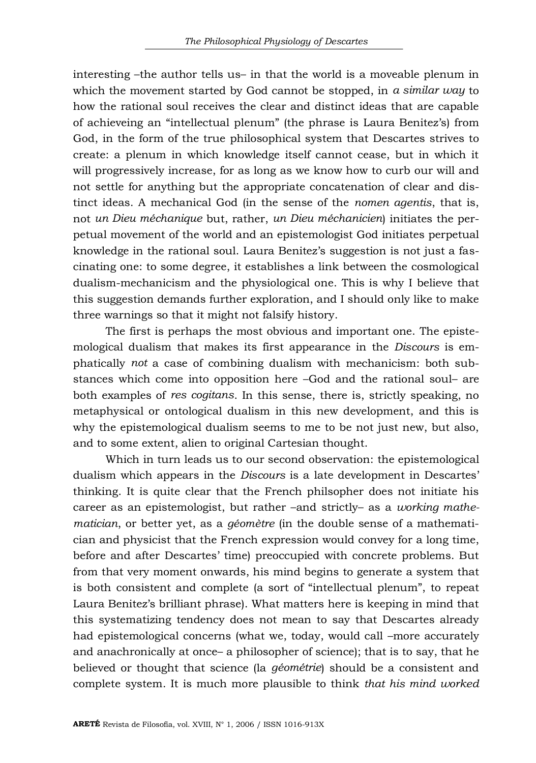interesting –the author tells us– in that the world is a moveable plenum in which the movement started by God cannot be stopped, in *a similar way* to how the rational soul receives the clear and distinct ideas that are capable of achieveing an "intellectual plenum" (the phrase is Laura Benitez"s) from God, in the form of the true philosophical system that Descartes strives to create: a plenum in which knowledge itself cannot cease, but in which it will progressively increase, for as long as we know how to curb our will and not settle for anything but the appropriate concatenation of clear and distinct ideas. A mechanical God (in the sense of the *nomen agentis*, that is, not *un Dieu méchanique* but, rather, *un Dieu méchanicien*) initiates the perpetual movement of the world and an epistemologist God initiates perpetual knowledge in the rational soul. Laura Benitez's suggestion is not just a fascinating one: to some degree, it establishes a link between the cosmological dualism-mechanicism and the physiological one. This is why I believe that this suggestion demands further exploration, and I should only like to make three warnings so that it might not falsify history.

The first is perhaps the most obvious and important one. The epistemological dualism that makes its first appearance in the *Discours* is emphatically *not* a case of combining dualism with mechanicism: both substances which come into opposition here –God and the rational soul– are both examples of *res cogitans*. In this sense, there is, strictly speaking, no metaphysical or ontological dualism in this new development, and this is why the epistemological dualism seems to me to be not just new, but also, and to some extent, alien to original Cartesian thought.

Which in turn leads us to our second observation: the epistemological dualism which appears in the *Discours* is a late development in Descartes" thinking. It is quite clear that the French philsopher does not initiate his career as an epistemologist, but rather –and strictly– as a *working mathematician*, or better yet, as a *géomètre* (in the double sense of a mathematician and physicist that the French expression would convey for a long time, before and after Descartes" time) preoccupied with concrete problems. But from that very moment onwards, his mind begins to generate a system that is both consistent and complete (a sort of "intellectual plenum", to repeat Laura Benitez"s brilliant phrase). What matters here is keeping in mind that this systematizing tendency does not mean to say that Descartes already had epistemological concerns (what we, today, would call –more accurately and anachronically at once– a philosopher of science); that is to say, that he believed or thought that science (la *géométrie*) should be a consistent and complete system. It is much more plausible to think *that his mind worked*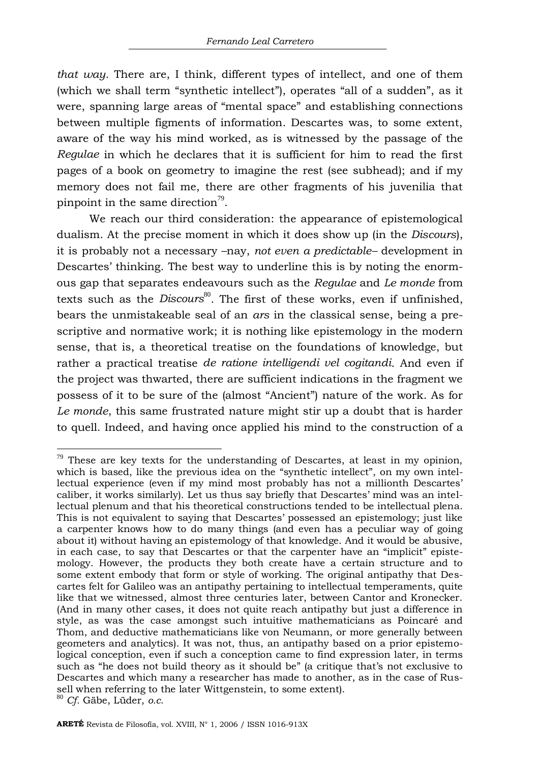*that way.* There are, I think, different types of intellect, and one of them (which we shall term "synthetic intellect"), operates "all of a sudden", as it were, spanning large areas of "mental space" and establishing connections between multiple figments of information. Descartes was, to some extent, aware of the way his mind worked, as is witnessed by the passage of the *Regulae* in which he declares that it is sufficient for him to read the first pages of a book on geometry to imagine the rest (see subhead); and if my memory does not fail me, there are other fragments of his juvenilia that pinpoint in the same direction<sup>79</sup>.

We reach our third consideration: the appearance of epistemological dualism. At the precise moment in which it does show up (in the *Discours*), it is probably not a necessary –nay, *not even a predictable–* development in Descartes' thinking. The best way to underline this is by noting the enormous gap that separates endeavours such as the *Regulae* and *Le monde* from texts such as the *Discours*<sup>80</sup>. The first of these works, even if unfinished, bears the unmistakeable seal of an *ars* in the classical sense, being a prescriptive and normative work; it is nothing like epistemology in the modern sense, that is, a theoretical treatise on the foundations of knowledge, but rather a practical treatise *de ratione intelligendi vel cogitandi*. And even if the project was thwarted, there are sufficient indications in the fragment we possess of it to be sure of the (almost "Ancient") nature of the work. As for *Le monde*, this same frustrated nature might stir up a doubt that is harder to quell. Indeed, and having once applied his mind to the construction of a

 $79$  These are key texts for the understanding of Descartes, at least in my opinion, which is based, like the previous idea on the "synthetic intellect", on my own intellectual experience (even if my mind most probably has not a millionth Descartes' caliber, it works similarly). Let us thus say briefly that Descartes" mind was an intellectual plenum and that his theoretical constructions tended to be intellectual plena. This is not equivalent to saying that Descartes" possessed an epistemology; just like a carpenter knows how to do many things (and even has a peculiar way of going about it) without having an epistemology of that knowledge. And it would be abusive, in each case, to say that Descartes or that the carpenter have an "implicit" epistemology. However, the products they both create have a certain structure and to some extent embody that form or style of working. The original antipathy that Descartes felt for Galileo was an antipathy pertaining to intellectual temperaments, quite like that we witnessed, almost three centuries later, between Cantor and Kronecker. (And in many other cases, it does not quite reach antipathy but just a difference in style, as was the case amongst such intuitive mathematicians as Poincaré and Thom, and deductive mathematicians like von Neumann, or more generally between geometers and analytics). It was not, thus, an antipathy based on a prior epistemological conception, even if such a conception came to find expression later, in terms such as "he does not build theory as it should be" (a critique that's not exclusive to Descartes and which many a researcher has made to another, as in the case of Russell when referring to the later Wittgenstein, to some extent).

<sup>80</sup> *Cf.* Gäbe, Lüder, *o.c.*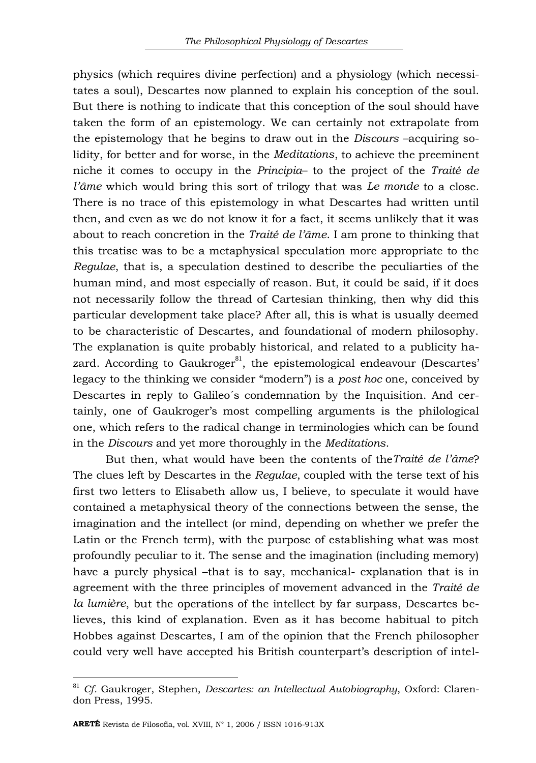physics (which requires divine perfection) and a physiology (which necessitates a soul), Descartes now planned to explain his conception of the soul. But there is nothing to indicate that this conception of the soul should have taken the form of an epistemology. We can certainly not extrapolate from the epistemology that he begins to draw out in the *Discours* –acquiring solidity, for better and for worse, in the *Meditations*, to achieve the preeminent niche it comes to occupy in the *Principia*– to the project of the *Traité de l'âme* which would bring this sort of trilogy that was *Le monde* to a close*.*  There is no trace of this epistemology in what Descartes had written until then, and even as we do not know it for a fact, it seems unlikely that it was about to reach concretion in the *Traité de l'âme*. I am prone to thinking that this treatise was to be a metaphysical speculation more appropriate to the *Regulae*, that is, a speculation destined to describe the peculiarties of the human mind, and most especially of reason. But, it could be said, if it does not necessarily follow the thread of Cartesian thinking, then why did this particular development take place? After all, this is what is usually deemed to be characteristic of Descartes, and foundational of modern philosophy. The explanation is quite probably historical, and related to a publicity hazard. According to Gaukroger ${}^{81}$ , the epistemological endeavour (Descartes' legacy to the thinking we consider "modern") is a *post hoc* one, conceived by Descartes in reply to Galileo´s condemnation by the Inquisition. And certainly, one of Gaukroger"s most compelling arguments is the philological one, which refers to the radical change in terminologies which can be found in the *Discours* and yet more thoroughly in the *Meditations*.

But then, what would have been the contents of the*Traité de l'âme*? The clues left by Descartes in the *Regulae*, coupled with the terse text of his first two letters to Elisabeth allow us, I believe, to speculate it would have contained a metaphysical theory of the connections between the sense, the imagination and the intellect (or mind, depending on whether we prefer the Latin or the French term), with the purpose of establishing what was most profoundly peculiar to it. The sense and the imagination (including memory) have a purely physical –that is to say, mechanical- explanation that is in agreement with the three principles of movement advanced in the *Traité de la lumière*, but the operations of the intellect by far surpass, Descartes believes, this kind of explanation. Even as it has become habitual to pitch Hobbes against Descartes, I am of the opinion that the French philosopher could very well have accepted his British counterpart"s description of intel-

<sup>81</sup> *Cf.* Gaukroger, Stephen, *Descartes: an Intellectual Autobiography*, Oxford: Clarendon Press, 1995.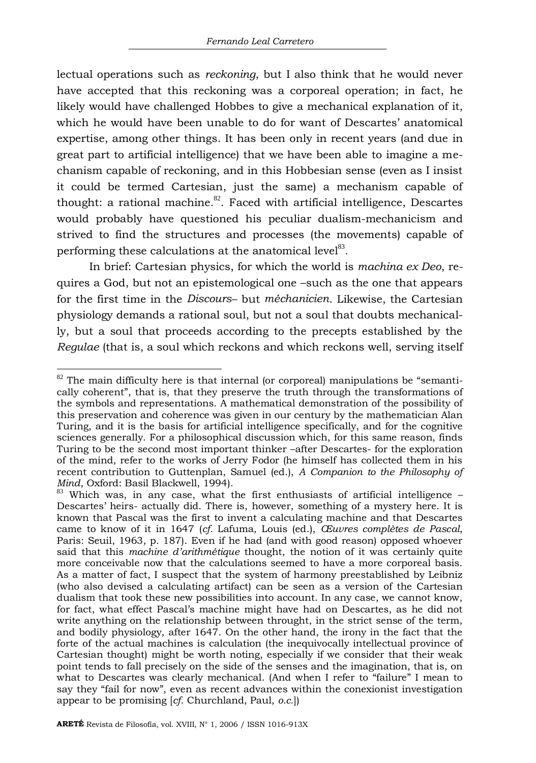lectual operations such as *reckoning*, but I also think that he would never have accepted that this reckoning was a corporeal operation; in fact, he likely would have challenged Hobbes to give a mechanical explanation of it, which he would have been unable to do for want of Descartes' anatomical expertise, among other things. It has been only in recent years (and due in great part to artificial intelligence) that we have been able to imagine a mechanism capable of reckoning, and in this Hobbesian sense (even as I insist it could be termed Cartesian, just the same) a mechanism capable of thought: a rational machine.<sup>82</sup>. Faced with artificial intelligence, Descartes would probably have questioned his peculiar dualism-mechanicism and strived to find the structures and processes (the movements) capable of performing these calculations at the anatomical level $^{83}.$ 

In brief: Cartesian physics, for which the world is *machina ex Deo*, requires a God, but not an epistemological one –such as the one that appears for the first time in the *Discours*– but *méchanicien*. Likewise, the Cartesian physiology demands a rational soul, but not a soul that doubts mechanically, but a soul that proceeds according to the precepts established by the *Regulae* (that is, a soul which reckons and which reckons well, serving itself

 $82$  The main difficulty here is that internal (or corporeal) manipulations be "semantically coherent", that is, that they preserve the truth through the transformations of the symbols and representations. A mathematical demonstration of the possibility of this preservation and coherence was given in our century by the mathematician Alan Turing, and it is the basis for artificial intelligence specifically, and for the cognitive sciences generally. For a philosophical discussion which, for this same reason, finds Turing to be the second most important thinker –after Descartes- for the exploration of the mind, refer to the works of Jerry Fodor (he himself has collected them in his recent contribution to Guttenplan, Samuel (ed.), *A Companion to the Philosophy of Mind*, Oxford: Basil Blackwell, 1994).

 $83$  Which was, in any case, what the first enthusiasts of artificial intelligence  $-$ Descartes" heirs- actually did. There is, however, something of a mystery here. It is known that Pascal was the first to invent a calculating machine and that Descartes came to know of it in 1647 (*cf.* Lafuma, Louis (ed.), *Œuvres complètes de Pascal*, Paris: Seuil, 1963, p. 187). Even if he had (and with good reason) opposed whoever said that this *machine d'arithmétique* thought, the notion of it was certainly quite more conceivable now that the calculations seemed to have a more corporeal basis. As a matter of fact, I suspect that the system of harmony preestablished by Leibniz (who also devised a calculating artifact) can be seen as a version of the Cartesian dualism that took these new possibilities into account. In any case, we cannot know, for fact, what effect Pascal"s machine might have had on Descartes, as he did not write anything on the relationship between throught, in the strict sense of the term, and bodily physiology, after 1647. On the other hand, the irony in the fact that the forte of the actual machines is calculation (the inequivocally intellectual province of Cartesian thought) might be worth noting, especially if we consider that their weak point tends to fall precisely on the side of the senses and the imagination, that is, on what to Descartes was clearly mechanical. (And when I refer to "failure" I mean to say they "fail for now", even as recent advances within the conexionist investigation appear to be promising [*cf*. Churchland, Paul, *o.c.*])